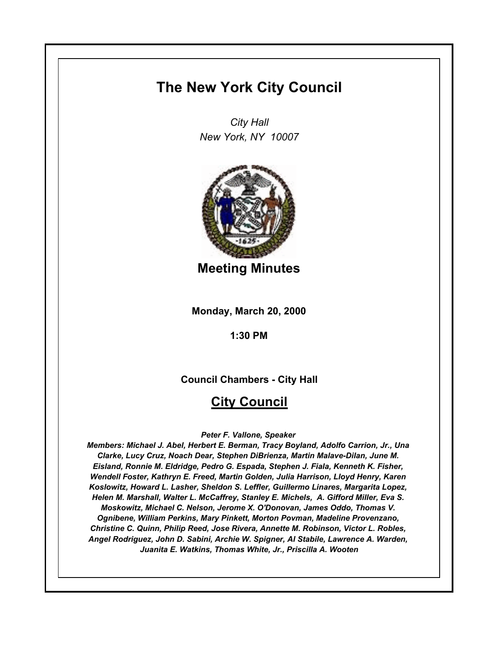## **The New York City Council**

*City Hall New York, NY 10007*



**Meeting Minutes**

**Monday, March 20, 2000**

**1:30 PM**

**Council Chambers - City Hall**

## **City Council**

*Peter F. Vallone, Speaker* 

*Members: Michael J. Abel, Herbert E. Berman, Tracy Boyland, Adolfo Carrion, Jr., Una Clarke, Lucy Cruz, Noach Dear, Stephen DiBrienza, Martin Malave-Dilan, June M. Eisland, Ronnie M. Eldridge, Pedro G. Espada, Stephen J. Fiala, Kenneth K. Fisher, Wendell Foster, Kathryn E. Freed, Martin Golden, Julia Harrison, Lloyd Henry, Karen Koslowitz, Howard L. Lasher, Sheldon S. Leffler, Guillermo Linares, Margarita Lopez, Helen M. Marshall, Walter L. McCaffrey, Stanley E. Michels, A. Gifford Miller, Eva S. Moskowitz, Michael C. Nelson, Jerome X. O'Donovan, James Oddo, Thomas V. Ognibene, William Perkins, Mary Pinkett, Morton Povman, Madeline Provenzano, Christine C. Quinn, Philip Reed, Jose Rivera, Annette M. Robinson, Victor L. Robles, Angel Rodriguez, John D. Sabini, Archie W. Spigner, Al Stabile, Lawrence A. Warden, Juanita E. Watkins, Thomas White, Jr., Priscilla A. Wooten*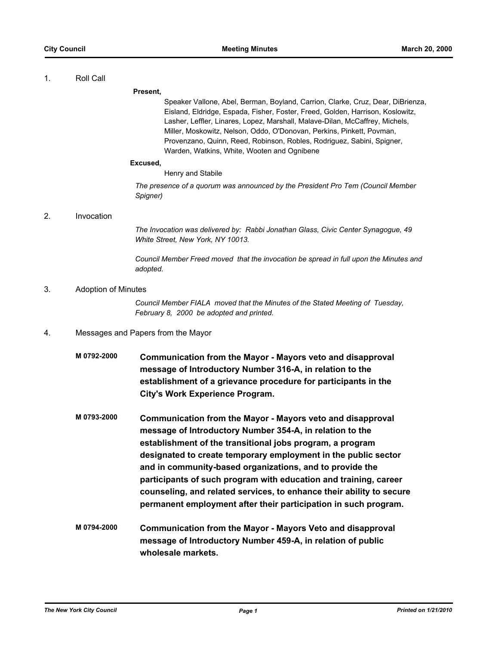#### 1. Roll Call

#### **Present,**

Speaker Vallone, Abel, Berman, Boyland, Carrion, Clarke, Cruz, Dear, DiBrienza, Eisland, Eldridge, Espada, Fisher, Foster, Freed, Golden, Harrison, Koslowitz, Lasher, Leffler, Linares, Lopez, Marshall, Malave-Dilan, McCaffrey, Michels, Miller, Moskowitz, Nelson, Oddo, O'Donovan, Perkins, Pinkett, Povman, Provenzano, Quinn, Reed, Robinson, Robles, Rodriguez, Sabini, Spigner, Warden, Watkins, White, Wooten and Ognibene

#### **Excused,**

#### Henry and Stabile

*The presence of a quorum was announced by the President Pro Tem (Council Member Spigner)*

#### 2. Invocation

*The Invocation was delivered by: Rabbi Jonathan Glass, Civic Center Synagogue, 49 White Street, New York, NY 10013.*

*Council Member Freed moved that the invocation be spread in full upon the Minutes and adopted.*

### 3. Adoption of Minutes

*Council Member FIALA moved that the Minutes of the Stated Meeting of Tuesday, February 8, 2000 be adopted and printed.*

- 4. Messages and Papers from the Mayor
	- **M 0792-2000 Communication from the Mayor Mayors veto and disapproval message of Introductory Number 316-A, in relation to the establishment of a grievance procedure for participants in the City's Work Experience Program.**
	- **M 0793-2000 Communication from the Mayor Mayors veto and disapproval message of Introductory Number 354-A, in relation to the establishment of the transitional jobs program, a program designated to create temporary employment in the public sector and in community-based organizations, and to provide the participants of such program with education and training, career counseling, and related services, to enhance their ability to secure permanent employment after their participation in such program.**
	- **M 0794-2000 Communication from the Mayor Mayors Veto and disapproval message of Introductory Number 459-A, in relation of public wholesale markets.**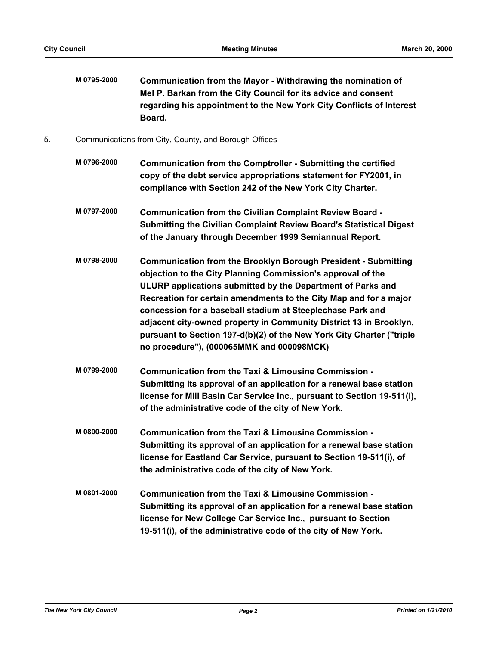**M 0795-2000 Communication from the Mayor - Withdrawing the nomination of Mel P. Barkan from the City Council for its advice and consent regarding his appointment to the New York City Conflicts of Interest Board.**

- 5. Communications from City, County, and Borough Offices
	- **M 0796-2000 Communication from the Comptroller Submitting the certified copy of the debt service appropriations statement for FY2001, in compliance with Section 242 of the New York City Charter.**
	- **M 0797-2000 Communication from the Civilian Complaint Review Board Submitting the Civilian Complaint Review Board's Statistical Digest of the January through December 1999 Semiannual Report.**
	- **M 0798-2000 Communication from the Brooklyn Borough President Submitting objection to the City Planning Commission's approval of the ULURP applications submitted by the Department of Parks and Recreation for certain amendments to the City Map and for a major concession for a baseball stadium at Steeplechase Park and adjacent city-owned property in Community District 13 in Brooklyn, pursuant to Section 197-d(b)(2) of the New York City Charter ("triple no procedure"), (000065MMK and 000098MCK)**
	- **M 0799-2000 Communication from the Taxi & Limousine Commission Submitting its approval of an application for a renewal base station license for Mill Basin Car Service Inc., pursuant to Section 19-511(i), of the administrative code of the city of New York.**
	- **M 0800-2000 Communication from the Taxi & Limousine Commission Submitting its approval of an application for a renewal base station license for Eastland Car Service, pursuant to Section 19-511(i), of the administrative code of the city of New York.**
	- **M 0801-2000 Communication from the Taxi & Limousine Commission Submitting its approval of an application for a renewal base station license for New College Car Service Inc., pursuant to Section 19-511(i), of the administrative code of the city of New York.**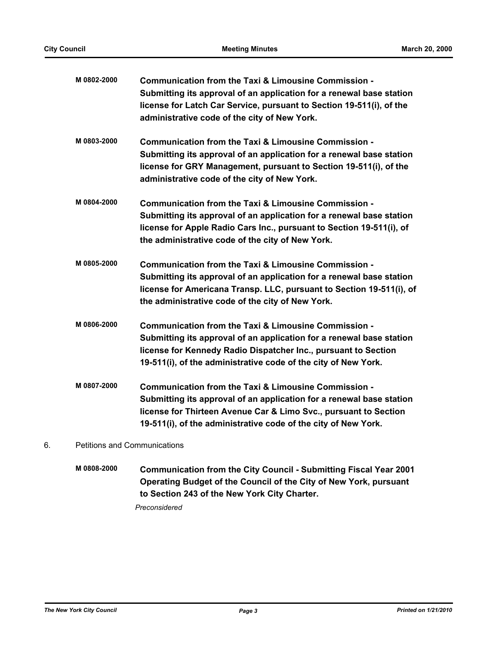| M 0802-2000 | Communication from the Taxi & Limousine Commission -<br>Submitting its approval of an application for a renewal base station<br>license for Latch Car Service, pursuant to Section 19-511(i), of the<br>administrative code of the city of New York.               |
|-------------|--------------------------------------------------------------------------------------------------------------------------------------------------------------------------------------------------------------------------------------------------------------------|
| M0803-2000  | Communication from the Taxi & Limousine Commission -<br>Submitting its approval of an application for a renewal base station<br>license for GRY Management, pursuant to Section 19-511(i), of the<br>administrative code of the city of New York.                  |
| M 0804-2000 | Communication from the Taxi & Limousine Commission -<br>Submitting its approval of an application for a renewal base station<br>license for Apple Radio Cars Inc., pursuant to Section 19-511(i), of<br>the administrative code of the city of New York.           |
| M 0805-2000 | Communication from the Taxi & Limousine Commission -<br>Submitting its approval of an application for a renewal base station<br>license for Americana Transp. LLC, pursuant to Section 19-511(i), of<br>the administrative code of the city of New York.           |
| M0806-2000  | Communication from the Taxi & Limousine Commission -<br>Submitting its approval of an application for a renewal base station<br>license for Kennedy Radio Dispatcher Inc., pursuant to Section<br>19-511(i), of the administrative code of the city of New York.   |
| M 0807-2000 | Communication from the Taxi & Limousine Commission -<br>Submitting its approval of an application for a renewal base station<br>license for Thirteen Avenue Car & Limo Svc., pursuant to Section<br>19-511(i), of the administrative code of the city of New York. |
|             |                                                                                                                                                                                                                                                                    |

## 6. Petitions and Communications

**M 0808-2000 Communication from the City Council - Submitting Fiscal Year 2001 Operating Budget of the Council of the City of New York, pursuant to Section 243 of the New York City Charter.**

*Preconsidered*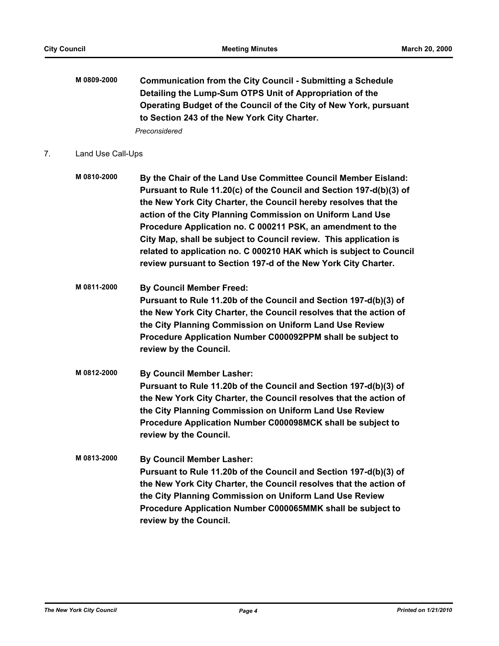**M 0809-2000 Communication from the City Council - Submitting a Schedule Detailing the Lump-Sum OTPS Unit of Appropriation of the Operating Budget of the Council of the City of New York, pursuant to Section 243 of the New York City Charter.**

*Preconsidered*

#### 7. Land Use Call-Ups

- **M 0810-2000 By the Chair of the Land Use Committee Council Member Eisland: Pursuant to Rule 11.20(c) of the Council and Section 197-d(b)(3) of the New York City Charter, the Council hereby resolves that the action of the City Planning Commission on Uniform Land Use Procedure Application no. C 000211 PSK, an amendment to the City Map, shall be subject to Council review. This application is related to application no. C 000210 HAK which is subject to Council review pursuant to Section 197-d of the New York City Charter.**
- **M 0811-2000 By Council Member Freed: Pursuant to Rule 11.20b of the Council and Section 197-d(b)(3) of the New York City Charter, the Council resolves that the action of the City Planning Commission on Uniform Land Use Review Procedure Application Number C000092PPM shall be subject to review by the Council.**
- **M 0812-2000 By Council Member Lasher: Pursuant to Rule 11.20b of the Council and Section 197-d(b)(3) of the New York City Charter, the Council resolves that the action of the City Planning Commission on Uniform Land Use Review Procedure Application Number C000098MCK shall be subject to review by the Council.**
- **M 0813-2000 By Council Member Lasher: Pursuant to Rule 11.20b of the Council and Section 197-d(b)(3) of the New York City Charter, the Council resolves that the action of the City Planning Commission on Uniform Land Use Review Procedure Application Number C000065MMK shall be subject to review by the Council.**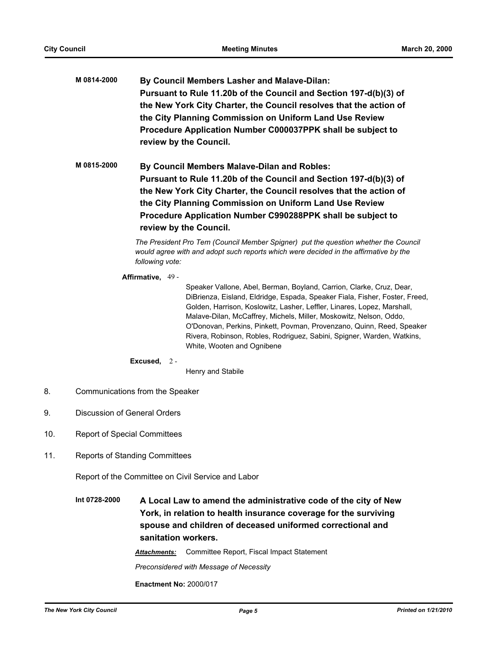**M 0814-2000 By Council Members Lasher and Malave-Dilan: Pursuant to Rule 11.20b of the Council and Section 197-d(b)(3) of the New York City Charter, the Council resolves that the action of the City Planning Commission on Uniform Land Use Review Procedure Application Number C000037PPK shall be subject to review by the Council.**

**M 0815-2000 By Council Members Malave-Dilan and Robles: Pursuant to Rule 11.20b of the Council and Section 197-d(b)(3) of the New York City Charter, the Council resolves that the action of the City Planning Commission on Uniform Land Use Review Procedure Application Number C990288PPK shall be subject to review by the Council.**

> *The President Pro Tem (Council Member Spigner) put the question whether the Council would agree with and adopt such reports which were decided in the affirmative by the following vote:*

#### **Affirmative,** 49 -

Speaker Vallone, Abel, Berman, Boyland, Carrion, Clarke, Cruz, Dear, DiBrienza, Eisland, Eldridge, Espada, Speaker Fiala, Fisher, Foster, Freed, Golden, Harrison, Koslowitz, Lasher, Leffler, Linares, Lopez, Marshall, Malave-Dilan, McCaffrey, Michels, Miller, Moskowitz, Nelson, Oddo, O'Donovan, Perkins, Pinkett, Povman, Provenzano, Quinn, Reed, Speaker Rivera, Robinson, Robles, Rodriguez, Sabini, Spigner, Warden, Watkins, White, Wooten and Ognibene

#### **Excused,** 2 -

Henry and Stabile

- 8. Communications from the Speaker
- 9. Discussion of General Orders
- 10. Report of Special Committees
- 11. Reports of Standing Committees

Report of the Committee on Civil Service and Labor

**Int 0728-2000 A Local Law to amend the administrative code of the city of New York, in relation to health insurance coverage for the surviving spouse and children of deceased uniformed correctional and sanitation workers.**

*Attachments:* Committee Report, Fiscal Impact Statement

*Preconsidered with Message of Necessity*

**Enactment No:** 2000/017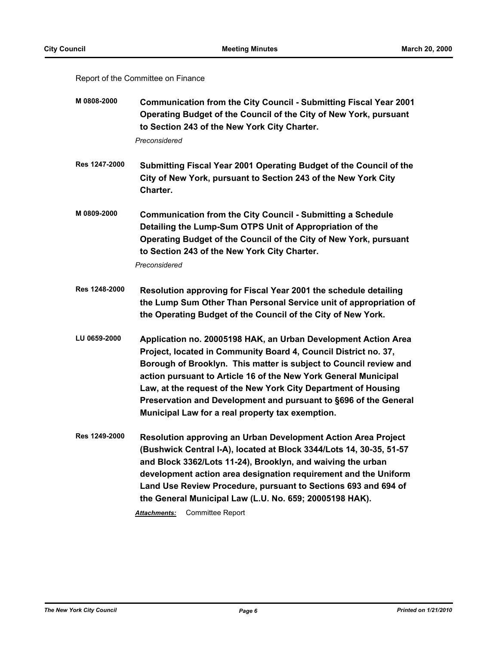#### Report of the Committee on Finance

| M 0808-2000 | <b>Communication from the City Council - Submitting Fiscal Year 2001</b> |
|-------------|--------------------------------------------------------------------------|
|             | Operating Budget of the Council of the City of New York, pursuant        |
|             | to Section 243 of the New York City Charter.                             |

*Preconsidered*

- **Res 1247-2000 Submitting Fiscal Year 2001 Operating Budget of the Council of the City of New York, pursuant to Section 243 of the New York City Charter.**
- **M 0809-2000 Communication from the City Council Submitting a Schedule Detailing the Lump-Sum OTPS Unit of Appropriation of the Operating Budget of the Council of the City of New York, pursuant to Section 243 of the New York City Charter.**

*Preconsidered*

- **Res 1248-2000 Resolution approving for Fiscal Year 2001 the schedule detailing the Lump Sum Other Than Personal Service unit of appropriation of the Operating Budget of the Council of the City of New York.**
- **LU 0659-2000 Application no. 20005198 HAK, an Urban Development Action Area Project, located in Community Board 4, Council District no. 37, Borough of Brooklyn. This matter is subject to Council review and action pursuant to Article 16 of the New York General Municipal Law, at the request of the New York City Department of Housing Preservation and Development and pursuant to §696 of the General Municipal Law for a real property tax exemption.**
- **Res 1249-2000 Resolution approving an Urban Development Action Area Project (Bushwick Central I-A), located at Block 3344/Lots 14, 30-35, 51-57 and Block 3362/Lots 11-24), Brooklyn, and waiving the urban development action area designation requirement and the Uniform Land Use Review Procedure, pursuant to Sections 693 and 694 of the General Municipal Law (L.U. No. 659; 20005198 HAK).**

*Attachments:* Committee Report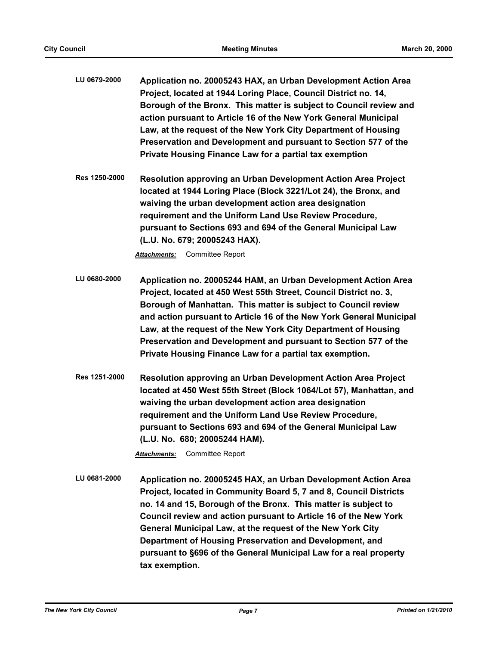- **LU 0679-2000 Application no. 20005243 HAX, an Urban Development Action Area Project, located at 1944 Loring Place, Council District no. 14, Borough of the Bronx. This matter is subject to Council review and action pursuant to Article 16 of the New York General Municipal Law, at the request of the New York City Department of Housing Preservation and Development and pursuant to Section 577 of the Private Housing Finance Law for a partial tax exemption**
- **Res 1250-2000 Resolution approving an Urban Development Action Area Project located at 1944 Loring Place (Block 3221/Lot 24), the Bronx, and waiving the urban development action area designation requirement and the Uniform Land Use Review Procedure, pursuant to Sections 693 and 694 of the General Municipal Law (L.U. No. 679; 20005243 HAX).**

- **LU 0680-2000 Application no. 20005244 HAM, an Urban Development Action Area Project, located at 450 West 55th Street, Council District no. 3, Borough of Manhattan. This matter is subject to Council review and action pursuant to Article 16 of the New York General Municipal Law, at the request of the New York City Department of Housing Preservation and Development and pursuant to Section 577 of the Private Housing Finance Law for a partial tax exemption.**
- **Res 1251-2000 Resolution approving an Urban Development Action Area Project located at 450 West 55th Street (Block 1064/Lot 57), Manhattan, and waiving the urban development action area designation requirement and the Uniform Land Use Review Procedure, pursuant to Sections 693 and 694 of the General Municipal Law (L.U. No. 680; 20005244 HAM).**

*Attachments:* Committee Report

**LU 0681-2000 Application no. 20005245 HAX, an Urban Development Action Area Project, located in Community Board 5, 7 and 8, Council Districts no. 14 and 15, Borough of the Bronx. This matter is subject to Council review and action pursuant to Article 16 of the New York General Municipal Law, at the request of the New York City Department of Housing Preservation and Development, and pursuant to §696 of the General Municipal Law for a real property tax exemption.**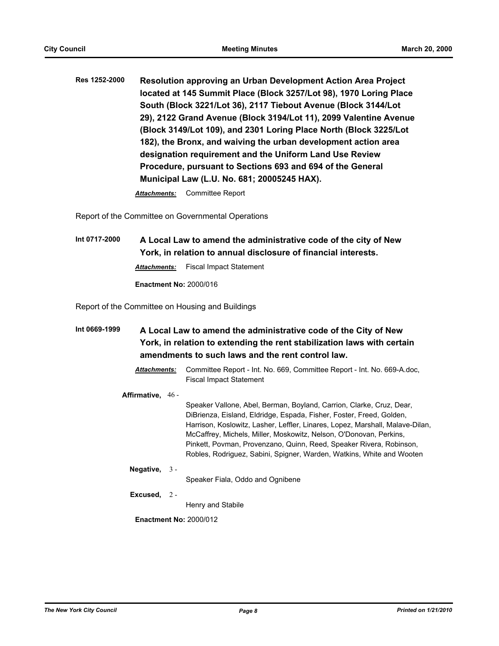**Res 1252-2000 Resolution approving an Urban Development Action Area Project located at 145 Summit Place (Block 3257/Lot 98), 1970 Loring Place South (Block 3221/Lot 36), 2117 Tiebout Avenue (Block 3144/Lot 29), 2122 Grand Avenue (Block 3194/Lot 11), 2099 Valentine Avenue (Block 3149/Lot 109), and 2301 Loring Place North (Block 3225/Lot 182), the Bronx, and waiving the urban development action area designation requirement and the Uniform Land Use Review Procedure, pursuant to Sections 693 and 694 of the General Municipal Law (L.U. No. 681; 20005245 HAX).**

*Attachments:* Committee Report

Report of the Committee on Governmental Operations

**Int 0717-2000 A Local Law to amend the administrative code of the city of New York, in relation to annual disclosure of financial interests.** *Attachments:* Fiscal Impact Statement

**Enactment No:** 2000/016

Report of the Committee on Housing and Buildings

- **Int 0669-1999 A Local Law to amend the administrative code of the City of New York, in relation to extending the rent stabilization laws with certain amendments to such laws and the rent control law.**
	- *Attachments:* Committee Report Int. No. 669, Committee Report Int. No. 669-A.doc, Fiscal Impact Statement
	- **Affirmative,** 46 -

Speaker Vallone, Abel, Berman, Boyland, Carrion, Clarke, Cruz, Dear, DiBrienza, Eisland, Eldridge, Espada, Fisher, Foster, Freed, Golden, Harrison, Koslowitz, Lasher, Leffler, Linares, Lopez, Marshall, Malave-Dilan, McCaffrey, Michels, Miller, Moskowitz, Nelson, O'Donovan, Perkins, Pinkett, Povman, Provenzano, Quinn, Reed, Speaker Rivera, Robinson, Robles, Rodriguez, Sabini, Spigner, Warden, Watkins, White and Wooten

**Negative,** 3 -

Speaker Fiala, Oddo and Ognibene

**Excused,** 2 -

Henry and Stabile

**Enactment No:** 2000/012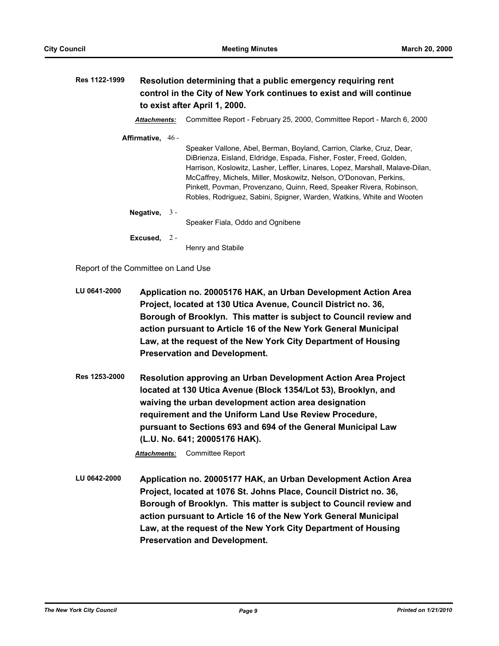| Res 1122-1999 |                     | Resolution determining that a public emergency requiring rent<br>control in the City of New York continues to exist and will continue<br>to exist after April 1, 2000.                                                        |  |
|---------------|---------------------|-------------------------------------------------------------------------------------------------------------------------------------------------------------------------------------------------------------------------------|--|
|               | <b>Attachments:</b> | Committee Report - February 25, 2000, Committee Report - March 6, 2000                                                                                                                                                        |  |
|               | Affirmative, 46 -   | Speaker Vallone, Abel, Berman, Boyland, Carrion, Clarke, Cruz, Dear,<br>DiBrienza, Eisland, Eldridge, Espada, Fisher, Foster, Freed, Golden,<br>Harrison, Koslowitz, Lasher, Leffler, Linares, Lopez, Marshall, Malave-Dilan, |  |
|               |                     | McCaffrey, Michels, Miller, Moskowitz, Nelson, O'Donovan, Perkins,<br>Pinkett, Povman, Provenzano, Quinn, Reed, Speaker Rivera, Robinson,<br>Robles, Rodriguez, Sabini, Spigner, Warden, Watkins, White and Wooten            |  |
|               | Negative, $3 -$     | Speaker Fiala, Oddo and Ognibene                                                                                                                                                                                              |  |
|               | Excused, $2 -$      | Henry and Stabile                                                                                                                                                                                                             |  |

Report of the Committee on Land Use

- **LU 0641-2000 Application no. 20005176 HAK, an Urban Development Action Area Project, located at 130 Utica Avenue, Council District no. 36, Borough of Brooklyn. This matter is subject to Council review and action pursuant to Article 16 of the New York General Municipal Law, at the request of the New York City Department of Housing Preservation and Development.**
- **Res 1253-2000 Resolution approving an Urban Development Action Area Project located at 130 Utica Avenue (Block 1354/Lot 53), Brooklyn, and waiving the urban development action area designation requirement and the Uniform Land Use Review Procedure, pursuant to Sections 693 and 694 of the General Municipal Law (L.U. No. 641; 20005176 HAK).**

*Attachments:* Committee Report

**LU 0642-2000 Application no. 20005177 HAK, an Urban Development Action Area Project, located at 1076 St. Johns Place, Council District no. 36, Borough of Brooklyn. This matter is subject to Council review and action pursuant to Article 16 of the New York General Municipal Law, at the request of the New York City Department of Housing Preservation and Development.**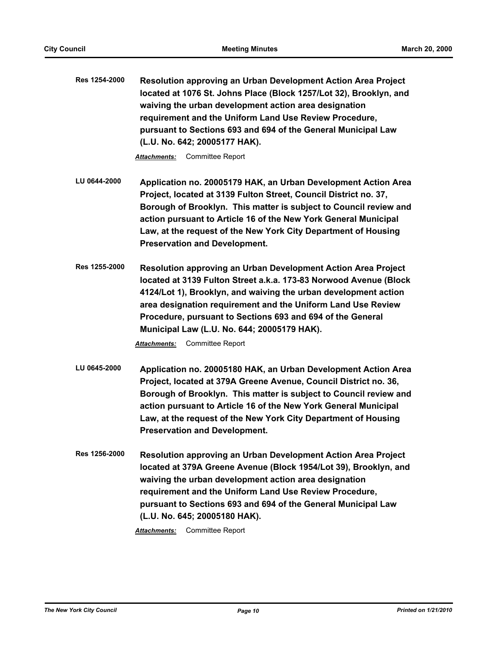| Res 1254-2000 | <b>Resolution approving an Urban Development Action Area Project</b> |
|---------------|----------------------------------------------------------------------|
|               | located at 1076 St. Johns Place (Block 1257/Lot 32), Brooklyn, and   |
|               | waiving the urban development action area designation                |
|               | requirement and the Uniform Land Use Review Procedure,               |
|               | pursuant to Sections 693 and 694 of the General Municipal Law        |
|               | (L.U. No. 642; 20005177 HAK).                                        |

- **LU 0644-2000 Application no. 20005179 HAK, an Urban Development Action Area Project, located at 3139 Fulton Street, Council District no. 37, Borough of Brooklyn. This matter is subject to Council review and action pursuant to Article 16 of the New York General Municipal Law, at the request of the New York City Department of Housing Preservation and Development.**
- **Res 1255-2000 Resolution approving an Urban Development Action Area Project located at 3139 Fulton Street a.k.a. 173-83 Norwood Avenue (Block 4124/Lot 1), Brooklyn, and waiving the urban development action area designation requirement and the Uniform Land Use Review Procedure, pursuant to Sections 693 and 694 of the General Municipal Law (L.U. No. 644; 20005179 HAK).**

*Attachments:* Committee Report

- **LU 0645-2000 Application no. 20005180 HAK, an Urban Development Action Area Project, located at 379A Greene Avenue, Council District no. 36, Borough of Brooklyn. This matter is subject to Council review and action pursuant to Article 16 of the New York General Municipal Law, at the request of the New York City Department of Housing Preservation and Development.**
- **Res 1256-2000 Resolution approving an Urban Development Action Area Project located at 379A Greene Avenue (Block 1954/Lot 39), Brooklyn, and waiving the urban development action area designation requirement and the Uniform Land Use Review Procedure, pursuant to Sections 693 and 694 of the General Municipal Law (L.U. No. 645; 20005180 HAK).**

*Attachments:* Committee Report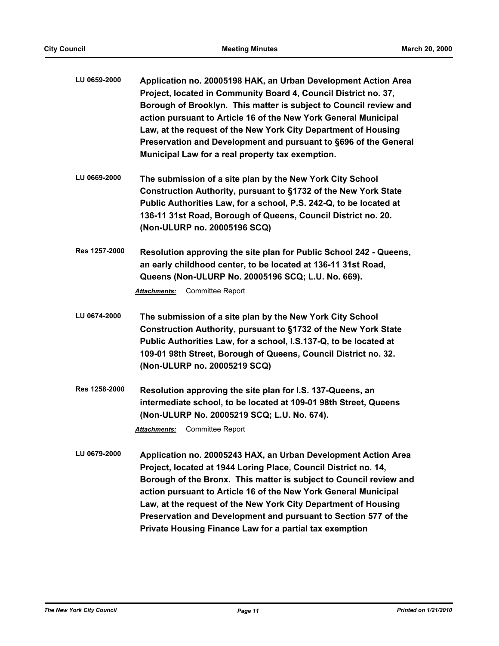| LU 0659-2000 | Application no. 20005198 HAK, an Urban Development Action Area    |
|--------------|-------------------------------------------------------------------|
|              | Project, located in Community Board 4, Council District no. 37,   |
|              | Borough of Brooklyn. This matter is subject to Council review and |
|              | action pursuant to Article 16 of the New York General Municipal   |
|              | Law, at the request of the New York City Department of Housing    |
|              | Preservation and Development and pursuant to §696 of the General  |
|              | Municipal Law for a real property tax exemption.                  |

- **LU 0669-2000 The submission of a site plan by the New York City School Construction Authority, pursuant to §1732 of the New York State Public Authorities Law, for a school, P.S. 242-Q, to be located at 136-11 31st Road, Borough of Queens, Council District no. 20. (Non-ULURP no. 20005196 SCQ)**
- **Res 1257-2000 Resolution approving the site plan for Public School 242 Queens, an early childhood center, to be located at 136-11 31st Road, Queens (Non-ULURP No. 20005196 SCQ; L.U. No. 669).**

- **LU 0674-2000 The submission of a site plan by the New York City School Construction Authority, pursuant to §1732 of the New York State Public Authorities Law, for a school, I.S.137-Q, to be located at 109-01 98th Street, Borough of Queens, Council District no. 32. (Non-ULURP no. 20005219 SCQ)**
- **Res 1258-2000 Resolution approving the site plan for I.S. 137-Queens, an intermediate school, to be located at 109-01 98th Street, Queens (Non-ULURP No. 20005219 SCQ; L.U. No. 674).**

*Attachments:* Committee Report

**LU 0679-2000 Application no. 20005243 HAX, an Urban Development Action Area Project, located at 1944 Loring Place, Council District no. 14, Borough of the Bronx. This matter is subject to Council review and action pursuant to Article 16 of the New York General Municipal Law, at the request of the New York City Department of Housing Preservation and Development and pursuant to Section 577 of the Private Housing Finance Law for a partial tax exemption**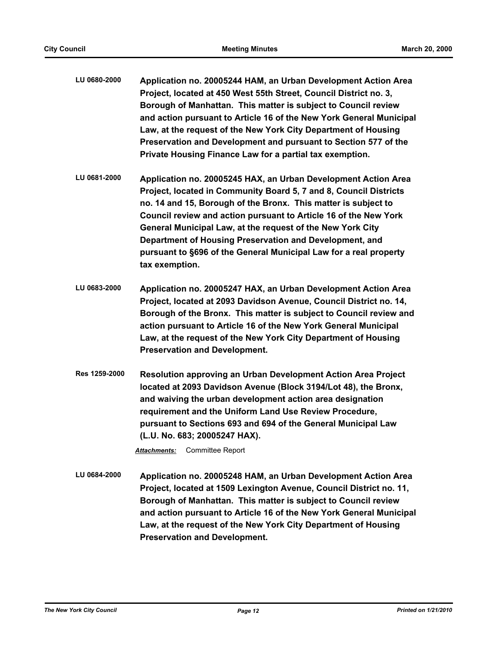- **LU 0680-2000 Application no. 20005244 HAM, an Urban Development Action Area Project, located at 450 West 55th Street, Council District no. 3, Borough of Manhattan. This matter is subject to Council review and action pursuant to Article 16 of the New York General Municipal Law, at the request of the New York City Department of Housing Preservation and Development and pursuant to Section 577 of the Private Housing Finance Law for a partial tax exemption.**
- **LU 0681-2000 Application no. 20005245 HAX, an Urban Development Action Area Project, located in Community Board 5, 7 and 8, Council Districts no. 14 and 15, Borough of the Bronx. This matter is subject to Council review and action pursuant to Article 16 of the New York General Municipal Law, at the request of the New York City Department of Housing Preservation and Development, and pursuant to §696 of the General Municipal Law for a real property tax exemption.**
- **LU 0683-2000 Application no. 20005247 HAX, an Urban Development Action Area Project, located at 2093 Davidson Avenue, Council District no. 14, Borough of the Bronx. This matter is subject to Council review and action pursuant to Article 16 of the New York General Municipal Law, at the request of the New York City Department of Housing Preservation and Development.**
- **Res 1259-2000 Resolution approving an Urban Development Action Area Project located at 2093 Davidson Avenue (Block 3194/Lot 48), the Bronx, and waiving the urban development action area designation requirement and the Uniform Land Use Review Procedure, pursuant to Sections 693 and 694 of the General Municipal Law (L.U. No. 683; 20005247 HAX).**

**LU 0684-2000 Application no. 20005248 HAM, an Urban Development Action Area Project, located at 1509 Lexington Avenue, Council District no. 11, Borough of Manhattan. This matter is subject to Council review and action pursuant to Article 16 of the New York General Municipal Law, at the request of the New York City Department of Housing Preservation and Development.**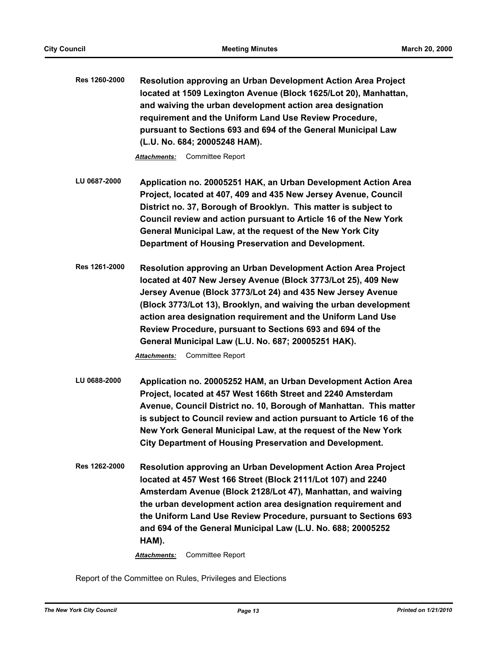| <b>Res 1260-2000</b> | <b>Resolution approving an Urban Development Action Area Project</b> |
|----------------------|----------------------------------------------------------------------|
|                      | located at 1509 Lexington Avenue (Block 1625/Lot 20), Manhattan,     |
|                      | and waiving the urban development action area designation            |
|                      | requirement and the Uniform Land Use Review Procedure,               |
|                      | pursuant to Sections 693 and 694 of the General Municipal Law        |
|                      | (L.U. No. 684; 20005248 HAM).                                        |

- **LU 0687-2000 Application no. 20005251 HAK, an Urban Development Action Area Project, located at 407, 409 and 435 New Jersey Avenue, Council District no. 37, Borough of Brooklyn. This matter is subject to Council review and action pursuant to Article 16 of the New York General Municipal Law, at the request of the New York City Department of Housing Preservation and Development.**
- **Res 1261-2000 Resolution approving an Urban Development Action Area Project located at 407 New Jersey Avenue (Block 3773/Lot 25), 409 New Jersey Avenue (Block 3773/Lot 24) and 435 New Jersey Avenue (Block 3773/Lot 13), Brooklyn, and waiving the urban development action area designation requirement and the Uniform Land Use Review Procedure, pursuant to Sections 693 and 694 of the General Municipal Law (L.U. No. 687; 20005251 HAK).**

*Attachments:* Committee Report

- **LU 0688-2000 Application no. 20005252 HAM, an Urban Development Action Area Project, located at 457 West 166th Street and 2240 Amsterdam Avenue, Council District no. 10, Borough of Manhattan. This matter is subject to Council review and action pursuant to Article 16 of the New York General Municipal Law, at the request of the New York City Department of Housing Preservation and Development.**
- **Res 1262-2000 Resolution approving an Urban Development Action Area Project located at 457 West 166 Street (Block 2111/Lot 107) and 2240 Amsterdam Avenue (Block 2128/Lot 47), Manhattan, and waiving the urban development action area designation requirement and the Uniform Land Use Review Procedure, pursuant to Sections 693 and 694 of the General Municipal Law (L.U. No. 688; 20005252 HAM).**

*Attachments:* Committee Report

Report of the Committee on Rules, Privileges and Elections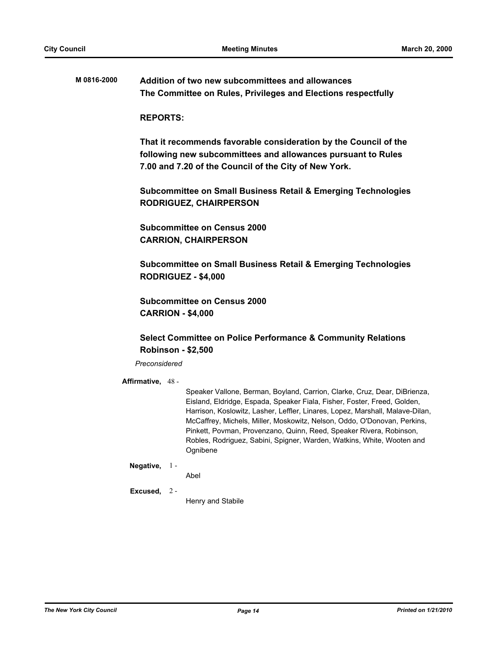**M 0816-2000 Addition of two new subcommittees and allowances The Committee on Rules, Privileges and Elections respectfully**

#### **REPORTS:**

**That it recommends favorable consideration by the Council of the following new subcommittees and allowances pursuant to Rules 7.00 and 7.20 of the Council of the City of New York.**

**Subcommittee on Small Business Retail & Emerging Technologies RODRIGUEZ, CHAIRPERSON**

**Subcommittee on Census 2000 CARRION, CHAIRPERSON**

**Subcommittee on Small Business Retail & Emerging Technologies RODRIGUEZ - \$4,000**

**Subcommittee on Census 2000 CARRION - \$4,000**

### **Select Committee on Police Performance & Community Relations Robinson - \$2,500**

#### *Preconsidered*

#### **Affirmative,** 48 -

Speaker Vallone, Berman, Boyland, Carrion, Clarke, Cruz, Dear, DiBrienza, Eisland, Eldridge, Espada, Speaker Fiala, Fisher, Foster, Freed, Golden, Harrison, Koslowitz, Lasher, Leffler, Linares, Lopez, Marshall, Malave-Dilan, McCaffrey, Michels, Miller, Moskowitz, Nelson, Oddo, O'Donovan, Perkins, Pinkett, Povman, Provenzano, Quinn, Reed, Speaker Rivera, Robinson, Robles, Rodriguez, Sabini, Spigner, Warden, Watkins, White, Wooten and Ognibene

#### **Negative,** 1 -

Abel

#### **Excused,** 2 -

Henry and Stabile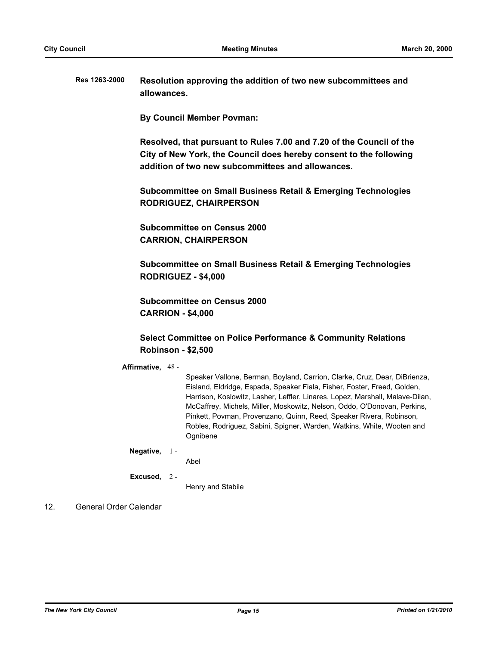**Res 1263-2000 Resolution approving the addition of two new subcommittees and allowances.**

**By Council Member Povman:**

**Resolved, that pursuant to Rules 7.00 and 7.20 of the Council of the City of New York, the Council does hereby consent to the following addition of two new subcommittees and allowances.**

**Subcommittee on Small Business Retail & Emerging Technologies RODRIGUEZ, CHAIRPERSON**

**Subcommittee on Census 2000 CARRION, CHAIRPERSON**

**Subcommittee on Small Business Retail & Emerging Technologies RODRIGUEZ - \$4,000**

**Subcommittee on Census 2000 CARRION - \$4,000**

### **Select Committee on Police Performance & Community Relations Robinson - \$2,500**

#### **Affirmative,** 48 -

Speaker Vallone, Berman, Boyland, Carrion, Clarke, Cruz, Dear, DiBrienza, Eisland, Eldridge, Espada, Speaker Fiala, Fisher, Foster, Freed, Golden, Harrison, Koslowitz, Lasher, Leffler, Linares, Lopez, Marshall, Malave-Dilan, McCaffrey, Michels, Miller, Moskowitz, Nelson, Oddo, O'Donovan, Perkins, Pinkett, Povman, Provenzano, Quinn, Reed, Speaker Rivera, Robinson, Robles, Rodriguez, Sabini, Spigner, Warden, Watkins, White, Wooten and Ognibene

#### **Negative,** 1 -

Abel

**Excused,** 2 -

Henry and Stabile

### 12. General Order Calendar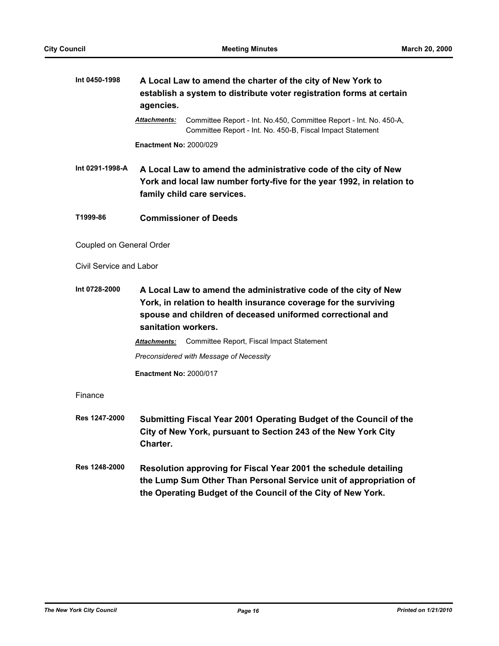| Int 0450-1998            | A Local Law to amend the charter of the city of New York to<br>establish a system to distribute voter registration forms at certain<br>agencies.                                                                         |  |  |
|--------------------------|--------------------------------------------------------------------------------------------------------------------------------------------------------------------------------------------------------------------------|--|--|
|                          | Committee Report - Int. No.450, Committee Report - Int. No. 450-A,<br>Attachments:<br>Committee Report - Int. No. 450-B, Fiscal Impact Statement                                                                         |  |  |
|                          | <b>Enactment No: 2000/029</b>                                                                                                                                                                                            |  |  |
| Int 0291-1998-A          | A Local Law to amend the administrative code of the city of New<br>York and local law number forty-five for the year 1992, in relation to<br>family child care services.                                                 |  |  |
| T1999-86                 | <b>Commissioner of Deeds</b>                                                                                                                                                                                             |  |  |
| Coupled on General Order |                                                                                                                                                                                                                          |  |  |
| Civil Service and Labor  |                                                                                                                                                                                                                          |  |  |
| Int 0728-2000            | A Local Law to amend the administrative code of the city of New<br>York, in relation to health insurance coverage for the surviving<br>spouse and children of deceased uniformed correctional and<br>sanitation workers. |  |  |
|                          | Committee Report, Fiscal Impact Statement<br><b>Attachments:</b>                                                                                                                                                         |  |  |
|                          | Preconsidered with Message of Necessity                                                                                                                                                                                  |  |  |
|                          | <b>Enactment No: 2000/017</b>                                                                                                                                                                                            |  |  |
| Finance                  |                                                                                                                                                                                                                          |  |  |
| Res 1247-2000            | Submitting Fiscal Year 2001 Operating Budget of the Council of the<br>City of New York, pursuant to Section 243 of the New York City<br>Charter.                                                                         |  |  |
| Res 1248-2000            | Resolution approving for Fiscal Year 2001 the schedule detailing<br>the Lump Sum Other Than Personal Service unit of appropriation of<br>the Operating Budget of the Council of the City of New York.                    |  |  |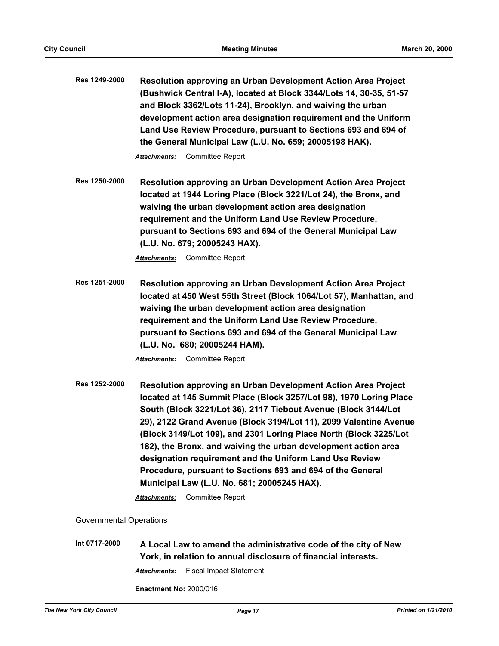**Res 1249-2000 Resolution approving an Urban Development Action Area Project (Bushwick Central I-A), located at Block 3344/Lots 14, 30-35, 51-57 and Block 3362/Lots 11-24), Brooklyn, and waiving the urban development action area designation requirement and the Uniform Land Use Review Procedure, pursuant to Sections 693 and 694 of the General Municipal Law (L.U. No. 659; 20005198 HAK).**

*Attachments:* Committee Report

**Res 1250-2000 Resolution approving an Urban Development Action Area Project located at 1944 Loring Place (Block 3221/Lot 24), the Bronx, and waiving the urban development action area designation requirement and the Uniform Land Use Review Procedure, pursuant to Sections 693 and 694 of the General Municipal Law (L.U. No. 679; 20005243 HAX).**

*Attachments:* Committee Report

**Res 1251-2000 Resolution approving an Urban Development Action Area Project located at 450 West 55th Street (Block 1064/Lot 57), Manhattan, and waiving the urban development action area designation requirement and the Uniform Land Use Review Procedure, pursuant to Sections 693 and 694 of the General Municipal Law (L.U. No. 680; 20005244 HAM).**

*Attachments:* Committee Report

**Res 1252-2000 Resolution approving an Urban Development Action Area Project located at 145 Summit Place (Block 3257/Lot 98), 1970 Loring Place South (Block 3221/Lot 36), 2117 Tiebout Avenue (Block 3144/Lot 29), 2122 Grand Avenue (Block 3194/Lot 11), 2099 Valentine Avenue (Block 3149/Lot 109), and 2301 Loring Place North (Block 3225/Lot 182), the Bronx, and waiving the urban development action area designation requirement and the Uniform Land Use Review Procedure, pursuant to Sections 693 and 694 of the General Municipal Law (L.U. No. 681; 20005245 HAX).**

*Attachments:* Committee Report

Governmental Operations

**Int 0717-2000 A Local Law to amend the administrative code of the city of New York, in relation to annual disclosure of financial interests.** *Attachments:* Fiscal Impact Statement

**Enactment No:** 2000/016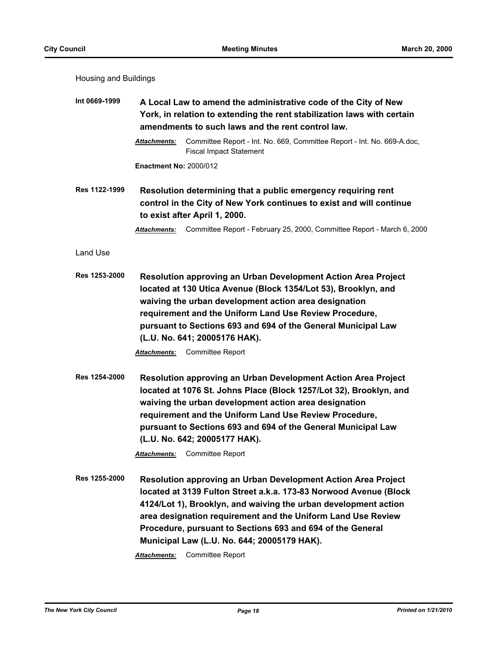| Housing and Buildings |  |
|-----------------------|--|
|-----------------------|--|

| Int 0669-1999        | A Local Law to amend the administrative code of the City of New<br>York, in relation to extending the rent stabilization laws with certain                             |                                                                                                                                                                                                                                                                                                                                                                                                        |  |
|----------------------|------------------------------------------------------------------------------------------------------------------------------------------------------------------------|--------------------------------------------------------------------------------------------------------------------------------------------------------------------------------------------------------------------------------------------------------------------------------------------------------------------------------------------------------------------------------------------------------|--|
|                      | amendments to such laws and the rent control law.                                                                                                                      |                                                                                                                                                                                                                                                                                                                                                                                                        |  |
|                      | <b>Attachments:</b>                                                                                                                                                    | Committee Report - Int. No. 669, Committee Report - Int. No. 669-A.doc,<br><b>Fiscal Impact Statement</b>                                                                                                                                                                                                                                                                                              |  |
|                      | <b>Enactment No: 2000/012</b>                                                                                                                                          |                                                                                                                                                                                                                                                                                                                                                                                                        |  |
| Res 1122-1999        | Resolution determining that a public emergency requiring rent<br>control in the City of New York continues to exist and will continue<br>to exist after April 1, 2000. |                                                                                                                                                                                                                                                                                                                                                                                                        |  |
|                      | Attachments:                                                                                                                                                           | Committee Report - February 25, 2000, Committee Report - March 6, 2000                                                                                                                                                                                                                                                                                                                                 |  |
| Land Use             |                                                                                                                                                                        |                                                                                                                                                                                                                                                                                                                                                                                                        |  |
| Res 1253-2000        | Attachments:                                                                                                                                                           | <b>Resolution approving an Urban Development Action Area Project</b><br>located at 130 Utica Avenue (Block 1354/Lot 53), Brooklyn, and<br>waiving the urban development action area designation<br>requirement and the Uniform Land Use Review Procedure,<br>pursuant to Sections 693 and 694 of the General Municipal Law<br>(L.U. No. 641; 20005176 HAK).<br><b>Committee Report</b>                 |  |
| Res 1254-2000        |                                                                                                                                                                        | Resolution approving an Urban Development Action Area Project<br>located at 1076 St. Johns Place (Block 1257/Lot 32), Brooklyn, and<br>waiving the urban development action area designation<br>requirement and the Uniform Land Use Review Procedure,<br>pursuant to Sections 693 and 694 of the General Municipal Law<br>(L.U. No. 642; 20005177 HAK).<br><b>Attachments:</b> Committee Report       |  |
| <b>Res 1255-2000</b> | Attachments:                                                                                                                                                           | Resolution approving an Urban Development Action Area Project<br>located at 3139 Fulton Street a.k.a. 173-83 Norwood Avenue (Block<br>4124/Lot 1), Brooklyn, and waiving the urban development action<br>area designation requirement and the Uniform Land Use Review<br>Procedure, pursuant to Sections 693 and 694 of the General<br>Municipal Law (L.U. No. 644; 20005179 HAK).<br>Committee Report |  |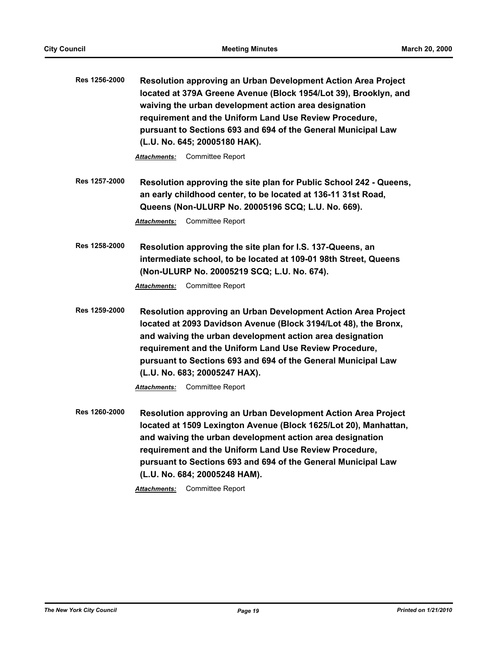| Res 1256-2000 | Resolution approving an Urban Development Action Area Project<br>located at 379A Greene Avenue (Block 1954/Lot 39), Brooklyn, and<br>waiving the urban development action area designation<br>requirement and the Uniform Land Use Review Procedure,<br>pursuant to Sections 693 and 694 of the General Municipal Law<br>(L.U. No. 645; 20005180 HAK).<br><b>Committee Report</b><br>Attachments:     |
|---------------|-------------------------------------------------------------------------------------------------------------------------------------------------------------------------------------------------------------------------------------------------------------------------------------------------------------------------------------------------------------------------------------------------------|
|               |                                                                                                                                                                                                                                                                                                                                                                                                       |
| Res 1257-2000 | Resolution approving the site plan for Public School 242 - Queens,<br>an early childhood center, to be located at 136-11 31st Road,<br>Queens (Non-ULURP No. 20005196 SCQ; L.U. No. 669).                                                                                                                                                                                                             |
|               | <b>Committee Report</b><br>Attachments:                                                                                                                                                                                                                                                                                                                                                               |
| Res 1258-2000 | Resolution approving the site plan for I.S. 137-Queens, an<br>intermediate school, to be located at 109-01 98th Street, Queens<br>(Non-ULURP No. 20005219 SCQ; L.U. No. 674).                                                                                                                                                                                                                         |
|               | <b>Committee Report</b><br>Attachments:                                                                                                                                                                                                                                                                                                                                                               |
| Res 1259-2000 | Resolution approving an Urban Development Action Area Project<br>located at 2093 Davidson Avenue (Block 3194/Lot 48), the Bronx,<br>and waiving the urban development action area designation<br>requirement and the Uniform Land Use Review Procedure,<br>pursuant to Sections 693 and 694 of the General Municipal Law<br>(L.U. No. 683; 20005247 HAX).                                             |
|               | Committee Report<br><b>Attachments:</b>                                                                                                                                                                                                                                                                                                                                                               |
| Res 1260-2000 | Resolution approving an Urban Development Action Area Project<br>located at 1509 Lexington Avenue (Block 1625/Lot 20), Manhattan,<br>and waiving the urban development action area designation<br>requirement and the Uniform Land Use Review Procedure,<br>pursuant to Sections 693 and 694 of the General Municipal Law<br>(L.U. No. 684; 20005248 HAM).<br><b>Committee Report</b><br>Attachments: |
|               |                                                                                                                                                                                                                                                                                                                                                                                                       |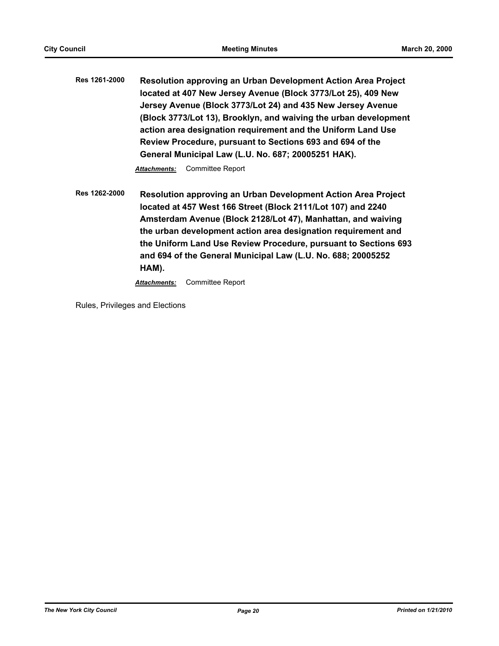**Res 1261-2000 Resolution approving an Urban Development Action Area Project located at 407 New Jersey Avenue (Block 3773/Lot 25), 409 New Jersey Avenue (Block 3773/Lot 24) and 435 New Jersey Avenue (Block 3773/Lot 13), Brooklyn, and waiving the urban development action area designation requirement and the Uniform Land Use Review Procedure, pursuant to Sections 693 and 694 of the General Municipal Law (L.U. No. 687; 20005251 HAK).**

*Attachments:* Committee Report

**Res 1262-2000 Resolution approving an Urban Development Action Area Project located at 457 West 166 Street (Block 2111/Lot 107) and 2240 Amsterdam Avenue (Block 2128/Lot 47), Manhattan, and waiving the urban development action area designation requirement and the Uniform Land Use Review Procedure, pursuant to Sections 693 and 694 of the General Municipal Law (L.U. No. 688; 20005252 HAM).**

*Attachments:* Committee Report

Rules, Privileges and Elections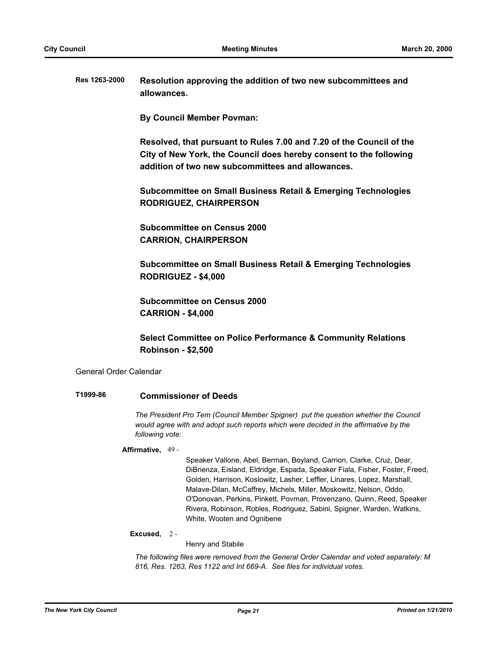**Res 1263-2000 Resolution approving the addition of two new subcommittees and allowances.**

**By Council Member Povman:**

**Resolved, that pursuant to Rules 7.00 and 7.20 of the Council of the City of New York, the Council does hereby consent to the following addition of two new subcommittees and allowances.**

**Subcommittee on Small Business Retail & Emerging Technologies RODRIGUEZ, CHAIRPERSON**

**Subcommittee on Census 2000 CARRION, CHAIRPERSON**

**Subcommittee on Small Business Retail & Emerging Technologies RODRIGUEZ - \$4,000**

**Subcommittee on Census 2000 CARRION - \$4,000**

**Select Committee on Police Performance & Community Relations Robinson - \$2,500**

General Order Calendar

## **T1999-86 Commissioner of Deeds**

*The President Pro Tem (Council Member Spigner) put the question whether the Council would agree with and adopt such reports which were decided in the affirmative by the following vote:*

**Affirmative,** 49 -

Speaker Vallone, Abel, Berman, Boyland, Carrion, Clarke, Cruz, Dear, DiBrienza, Eisland, Eldridge, Espada, Speaker Fiala, Fisher, Foster, Freed, Golden, Harrison, Koslowitz, Lasher, Leffler, Linares, Lopez, Marshall, Malave-Dilan, McCaffrey, Michels, Miller, Moskowitz, Nelson, Oddo, O'Donovan, Perkins, Pinkett, Povman, Provenzano, Quinn, Reed, Speaker Rivera, Robinson, Robles, Rodriguez, Sabini, Spigner, Warden, Watkins, White, Wooten and Ognibene

#### **Excused,** 2 -

Henry and Stabile

*The following files were removed from the General Order Calendar and voted separately: M 816, Res. 1263, Res 1122 and Int 669-A. See files for individual votes.*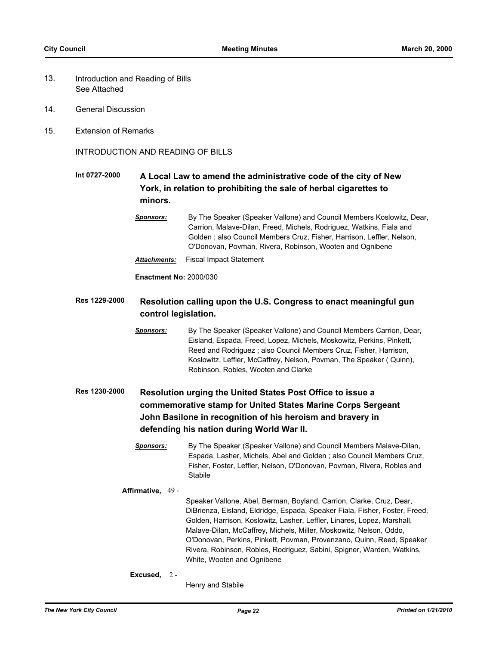- Introduction and Reading of Bills See Attached 13.
- 14. General Discussion
- 15. Extension of Remarks

INTRODUCTION AND READING OF BILLS

## **Int 0727-2000 A Local Law to amend the administrative code of the city of New York, in relation to prohibiting the sale of herbal cigarettes to minors.**

*Attachments:* Fiscal Impact Statement

**Enactment No:** 2000/030

## **Res 1229-2000 Resolution calling upon the U.S. Congress to enact meaningful gun control legislation.**

*Sponsors:* By The Speaker (Speaker Vallone) and Council Members Carrion, Dear, Eisland, Espada, Freed, Lopez, Michels, Moskowitz, Perkins, Pinkett, Reed and Rodriguez ; also Council Members Cruz, Fisher, Harrison, Koslowitz, Leffler, McCaffrey, Nelson, Povman, The Speaker ( Quinn), Robinson, Robles, Wooten and Clarke

## **Res 1230-2000 Resolution urging the United States Post Office to issue a commemorative stamp for United States Marine Corps Sergeant John Basilone in recognition of his heroism and bravery in defending his nation during World War II.**

*Sponsors:* By The Speaker (Speaker Vallone) and Council Members Malave-Dilan, Espada, Lasher, Michels, Abel and Golden ; also Council Members Cruz, Fisher, Foster, Leffler, Nelson, O'Donovan, Povman, Rivera, Robles and Stabile

#### **Affirmative,** 49 -

Speaker Vallone, Abel, Berman, Boyland, Carrion, Clarke, Cruz, Dear, DiBrienza, Eisland, Eldridge, Espada, Speaker Fiala, Fisher, Foster, Freed, Golden, Harrison, Koslowitz, Lasher, Leffler, Linares, Lopez, Marshall, Malave-Dilan, McCaffrey, Michels, Miller, Moskowitz, Nelson, Oddo, O'Donovan, Perkins, Pinkett, Povman, Provenzano, Quinn, Reed, Speaker Rivera, Robinson, Robles, Rodriguez, Sabini, Spigner, Warden, Watkins, White, Wooten and Ognibene

#### **Excused,** 2 -

Henry and Stabile

*Sponsors:* By The Speaker (Speaker Vallone) and Council Members Koslowitz, Dear, Carrion, Malave-Dilan, Freed, Michels, Rodriguez, Watkins, Fiala and Golden ; also Council Members Cruz, Fisher, Harrison, Leffler, Nelson, O'Donovan, Povman, Rivera, Robinson, Wooten and Ognibene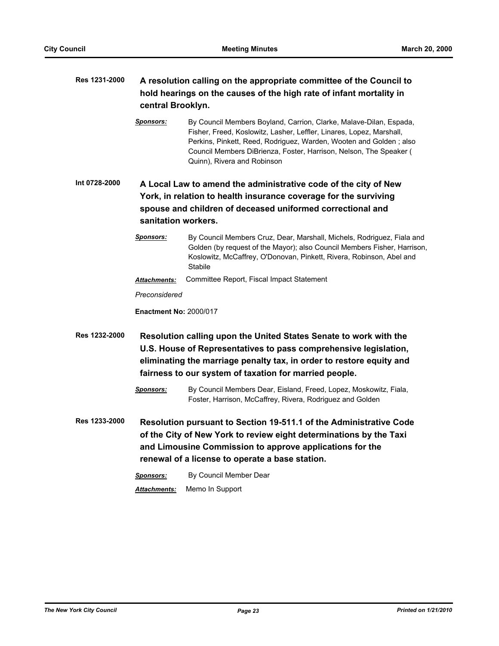## **Res 1231-2000 A resolution calling on the appropriate committee of the Council to hold hearings on the causes of the high rate of infant mortality in central Brooklyn.** *Sponsors:* By Council Members Boyland, Carrion, Clarke, Malave-Dilan, Espada, Fisher, Freed, Koslowitz, Lasher, Leffler, Linares, Lopez, Marshall, Perkins, Pinkett, Reed, Rodriguez, Warden, Wooten and Golden ; also Council Members DiBrienza, Foster, Harrison, Nelson, The Speaker ( Quinn), Rivera and Robinson **Int 0728-2000 A Local Law to amend the administrative code of the city of New York, in relation to health insurance coverage for the surviving spouse and children of deceased uniformed correctional and sanitation workers.** *Sponsors:* By Council Members Cruz, Dear, Marshall, Michels, Rodriguez, Fiala and Golden (by request of the Mayor); also Council Members Fisher, Harrison, Koslowitz, McCaffrey, O'Donovan, Pinkett, Rivera, Robinson, Abel and Stabile *Attachments:* Committee Report, Fiscal Impact Statement *Preconsidered* **Enactment No:** 2000/017 **Res 1232-2000 Resolution calling upon the United States Senate to work with the U.S. House of Representatives to pass comprehensive legislation, eliminating the marriage penalty tax, in order to restore equity and fairness to our system of taxation for married people.** *Sponsors:* By Council Members Dear, Eisland, Freed, Lopez, Moskowitz, Fiala, Foster, Harrison, McCaffrey, Rivera, Rodriguez and Golden **Res 1233-2000 Resolution pursuant to Section 19-511.1 of the Administrative Code of the City of New York to review eight determinations by the Taxi and Limousine Commission to approve applications for the**

*Sponsors:* By Council Member Dear *Attachments:* Memo In Support

**renewal of a license to operate a base station.**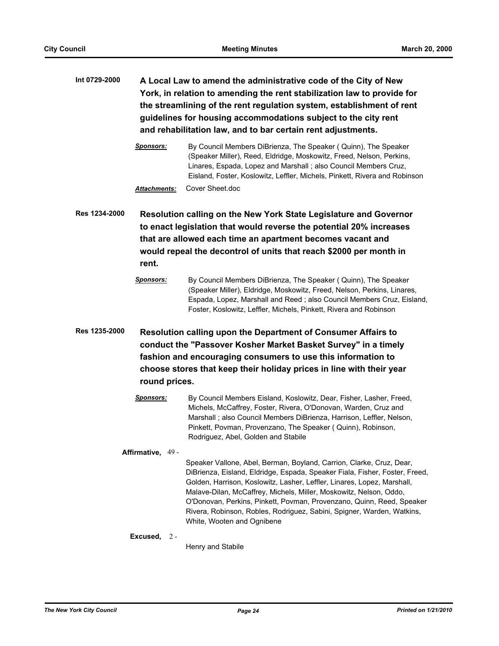- **Int 0729-2000 A Local Law to amend the administrative code of the City of New York, in relation to amending the rent stabilization law to provide for the streamlining of the rent regulation system, establishment of rent guidelines for housing accommodations subject to the city rent and rehabilitation law, and to bar certain rent adjustments.**
	- *Sponsors:* By Council Members DiBrienza, The Speaker ( Quinn), The Speaker (Speaker Miller), Reed, Eldridge, Moskowitz, Freed, Nelson, Perkins, Linares, Espada, Lopez and Marshall ; also Council Members Cruz, Eisland, Foster, Koslowitz, Leffler, Michels, Pinkett, Rivera and Robinson *Attachments:* Cover Sheet.doc

**Res 1234-2000 Resolution calling on the New York State Legislature and Governor to enact legislation that would reverse the potential 20% increases that are allowed each time an apartment becomes vacant and would repeal the decontrol of units that reach \$2000 per month in rent.**

- *Sponsors:* By Council Members DiBrienza, The Speaker ( Quinn), The Speaker (Speaker Miller), Eldridge, Moskowitz, Freed, Nelson, Perkins, Linares, Espada, Lopez, Marshall and Reed ; also Council Members Cruz, Eisland, Foster, Koslowitz, Leffler, Michels, Pinkett, Rivera and Robinson
- **Res 1235-2000 Resolution calling upon the Department of Consumer Affairs to conduct the "Passover Kosher Market Basket Survey" in a timely fashion and encouraging consumers to use this information to choose stores that keep their holiday prices in line with their year round prices.**
	- *Sponsors:* By Council Members Eisland, Koslowitz, Dear, Fisher, Lasher, Freed, Michels, McCaffrey, Foster, Rivera, O'Donovan, Warden, Cruz and Marshall ; also Council Members DiBrienza, Harrison, Leffler, Nelson, Pinkett, Povman, Provenzano, The Speaker ( Quinn), Robinson, Rodriguez, Abel, Golden and Stabile

**Affirmative,** 49 - Speaker Vallone, Abel, Berman, Boyland, Carrion, Clarke, Cruz, Dear, DiBrienza, Eisland, Eldridge, Espada, Speaker Fiala, Fisher, Foster, Freed, Golden, Harrison, Koslowitz, Lasher, Leffler, Linares, Lopez, Marshall, Malave-Dilan, McCaffrey, Michels, Miller, Moskowitz, Nelson, Oddo, O'Donovan, Perkins, Pinkett, Povman, Provenzano, Quinn, Reed, Speaker Rivera, Robinson, Robles, Rodriguez, Sabini, Spigner, Warden, Watkins, White, Wooten and Ognibene

#### **Excused,** 2 -

Henry and Stabile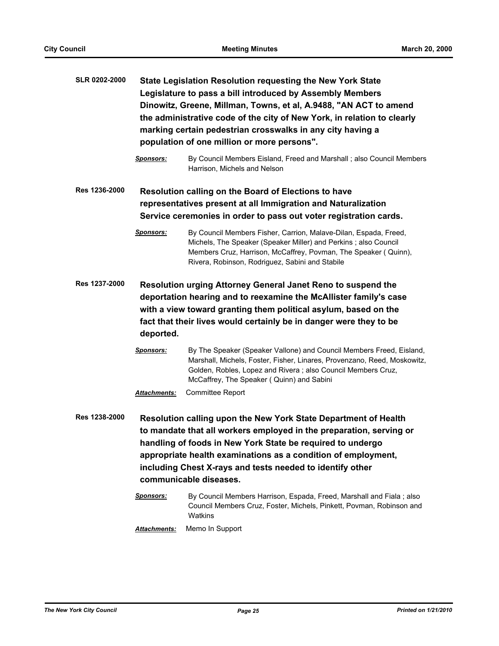| <b>SLR 0202-2000</b> | State Legislation Resolution requesting the New York State<br>Legislature to pass a bill introduced by Assembly Members<br>Dinowitz, Greene, Millman, Towns, et al, A.9488, "AN ACT to amend<br>the administrative code of the city of New York, in relation to clearly<br>marking certain pedestrian crosswalks in any city having a<br>population of one million or more persons". |                                                                                                                                                                                                                                                               |  |
|----------------------|--------------------------------------------------------------------------------------------------------------------------------------------------------------------------------------------------------------------------------------------------------------------------------------------------------------------------------------------------------------------------------------|---------------------------------------------------------------------------------------------------------------------------------------------------------------------------------------------------------------------------------------------------------------|--|
|                      | <b>Sponsors:</b>                                                                                                                                                                                                                                                                                                                                                                     | By Council Members Eisland, Freed and Marshall; also Council Members<br>Harrison, Michels and Nelson                                                                                                                                                          |  |
| Res 1236-2000        |                                                                                                                                                                                                                                                                                                                                                                                      | Resolution calling on the Board of Elections to have<br>representatives present at all Immigration and Naturalization                                                                                                                                         |  |
|                      |                                                                                                                                                                                                                                                                                                                                                                                      | Service ceremonies in order to pass out voter registration cards.                                                                                                                                                                                             |  |
|                      | <b>Sponsors:</b>                                                                                                                                                                                                                                                                                                                                                                     | By Council Members Fisher, Carrion, Malave-Dilan, Espada, Freed,<br>Michels, The Speaker (Speaker Miller) and Perkins; also Council<br>Members Cruz, Harrison, McCaffrey, Povman, The Speaker (Quinn),<br>Rivera, Robinson, Rodriguez, Sabini and Stabile     |  |
| <b>Res 1237-2000</b> | Resolution urging Attorney General Janet Reno to suspend the<br>deportation hearing and to reexamine the McAllister family's case<br>with a view toward granting them political asylum, based on the<br>fact that their lives would certainly be in danger were they to be<br>deported.                                                                                              |                                                                                                                                                                                                                                                               |  |
|                      | <b>Sponsors:</b>                                                                                                                                                                                                                                                                                                                                                                     | By The Speaker (Speaker Vallone) and Council Members Freed, Eisland,<br>Marshall, Michels, Foster, Fisher, Linares, Provenzano, Reed, Moskowitz,<br>Golden, Robles, Lopez and Rivera; also Council Members Cruz,<br>McCaffrey, The Speaker (Quinn) and Sabini |  |
|                      | Attachments:                                                                                                                                                                                                                                                                                                                                                                         | <b>Committee Report</b>                                                                                                                                                                                                                                       |  |
| <b>Res 1238-2000</b> | Resolution calling upon the New York State Department of Health<br>to mandate that all workers employed in the preparation, serving or<br>handling of foods in New York State be required to undergo<br>appropriate health examinations as a condition of employment,<br>including Chest X-rays and tests needed to identify other<br>communicable diseases.                         |                                                                                                                                                                                                                                                               |  |
|                      | <u>Sponsors:</u>                                                                                                                                                                                                                                                                                                                                                                     | By Council Members Harrison, Espada, Freed, Marshall and Fiala; also<br>Council Members Cruz, Foster, Michels, Pinkett, Povman, Robinson and<br>Watkins                                                                                                       |  |
|                      | <b>Attachments:</b>                                                                                                                                                                                                                                                                                                                                                                  | Memo In Support                                                                                                                                                                                                                                               |  |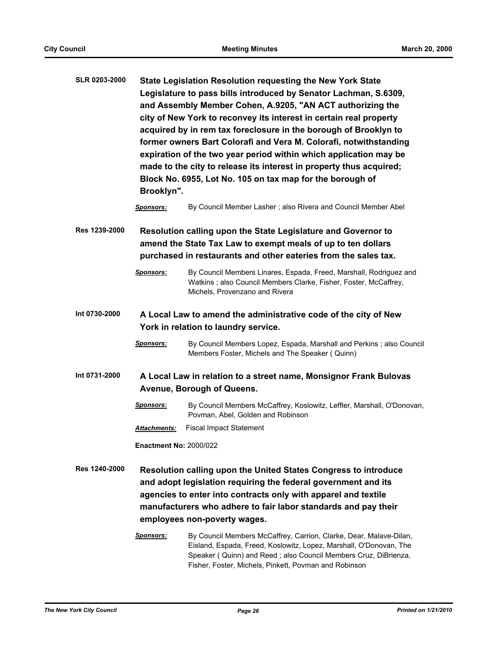| <b>SLR 0203-2000</b> | State Legislation Resolution requesting the New York State<br>Legislature to pass bills introduced by Senator Lachman, S.6309,<br>and Assembly Member Cohen, A.9205, "AN ACT authorizing the<br>city of New York to reconvey its interest in certain real property<br>acquired by in rem tax foreclosure in the borough of Brooklyn to<br>former owners Bart Colorafi and Vera M. Colorafi, notwithstanding<br>expiration of the two year period within which application may be<br>made to the city to release its interest in property thus acquired;<br>Block No. 6955, Lot No. 105 on tax map for the borough of<br>Brooklyn". |                                                                                                                                                                                                             |  |
|----------------------|------------------------------------------------------------------------------------------------------------------------------------------------------------------------------------------------------------------------------------------------------------------------------------------------------------------------------------------------------------------------------------------------------------------------------------------------------------------------------------------------------------------------------------------------------------------------------------------------------------------------------------|-------------------------------------------------------------------------------------------------------------------------------------------------------------------------------------------------------------|--|
|                      | <b>Sponsors:</b>                                                                                                                                                                                                                                                                                                                                                                                                                                                                                                                                                                                                                   | By Council Member Lasher; also Rivera and Council Member Abel                                                                                                                                               |  |
| <b>Res 1239-2000</b> | Resolution calling upon the State Legislature and Governor to<br>amend the State Tax Law to exempt meals of up to ten dollars<br>purchased in restaurants and other eateries from the sales tax.                                                                                                                                                                                                                                                                                                                                                                                                                                   |                                                                                                                                                                                                             |  |
|                      | <b>Sponsors:</b>                                                                                                                                                                                                                                                                                                                                                                                                                                                                                                                                                                                                                   | By Council Members Linares, Espada, Freed, Marshall, Rodriguez and<br>Watkins; also Council Members Clarke, Fisher, Foster, McCaffrey,<br>Michels, Provenzano and Rivera                                    |  |
| Int 0730-2000        | A Local Law to amend the administrative code of the city of New<br>York in relation to laundry service.                                                                                                                                                                                                                                                                                                                                                                                                                                                                                                                            |                                                                                                                                                                                                             |  |
|                      | <u>Sponsors:</u>                                                                                                                                                                                                                                                                                                                                                                                                                                                                                                                                                                                                                   | By Council Members Lopez, Espada, Marshall and Perkins; also Council<br>Members Foster, Michels and The Speaker (Quinn)                                                                                     |  |
| Int 0731-2000        | A Local Law in relation to a street name, Monsignor Frank Bulovas                                                                                                                                                                                                                                                                                                                                                                                                                                                                                                                                                                  |                                                                                                                                                                                                             |  |
|                      |                                                                                                                                                                                                                                                                                                                                                                                                                                                                                                                                                                                                                                    | Avenue, Borough of Queens.                                                                                                                                                                                  |  |
|                      | <b>Sponsors:</b>                                                                                                                                                                                                                                                                                                                                                                                                                                                                                                                                                                                                                   | By Council Members McCaffrey, Koslowitz, Leffler, Marshall, O'Donovan,<br>Povman, Abel, Golden and Robinson                                                                                                 |  |
|                      | Attachments:                                                                                                                                                                                                                                                                                                                                                                                                                                                                                                                                                                                                                       | <b>Fiscal Impact Statement</b>                                                                                                                                                                              |  |
|                      | <b>Enactment No: 2000/022</b>                                                                                                                                                                                                                                                                                                                                                                                                                                                                                                                                                                                                      |                                                                                                                                                                                                             |  |
| <b>Res 1240-2000</b> | Resolution calling upon the United States Congress to introduce<br>and adopt legislation requiring the federal government and its<br>agencies to enter into contracts only with apparel and textile<br>manufacturers who adhere to fair labor standards and pay their<br>employees non-poverty wages.                                                                                                                                                                                                                                                                                                                              |                                                                                                                                                                                                             |  |
|                      | <b>Sponsors:</b>                                                                                                                                                                                                                                                                                                                                                                                                                                                                                                                                                                                                                   | By Council Members McCaffrey, Carrion, Clarke, Dear, Malave-Dilan,<br>Eisland, Espada, Freed, Koslowitz, Lopez, Marshall, O'Donovan, The<br>Speaker (Quinn) and Reed; also Council Members Cruz, DiBrienza, |  |

Fisher, Foster, Michels, Pinkett, Povman and Robinson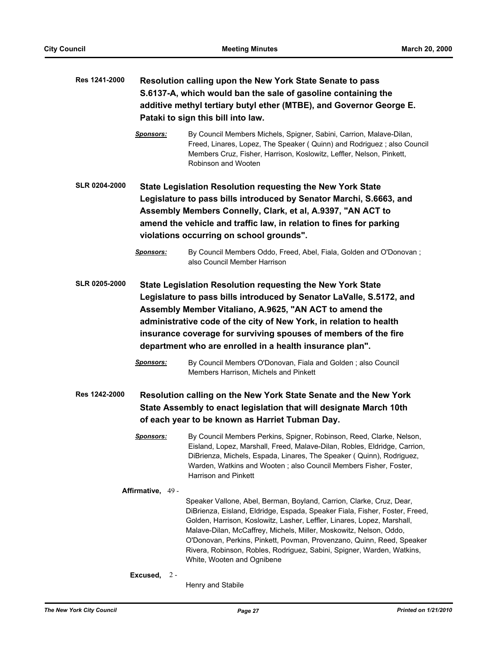| Res 1241-2000        | Resolution calling upon the New York State Senate to pass<br>S.6137-A, which would ban the sale of gasoline containing the<br>additive methyl tertiary butyl ether (MTBE), and Governor George E.<br>Pataki to sign this bill into law.                                                                                                                                                            |                                                                                                                                                                                                                                                                                                                                                                                                                                                                                       |  |
|----------------------|----------------------------------------------------------------------------------------------------------------------------------------------------------------------------------------------------------------------------------------------------------------------------------------------------------------------------------------------------------------------------------------------------|---------------------------------------------------------------------------------------------------------------------------------------------------------------------------------------------------------------------------------------------------------------------------------------------------------------------------------------------------------------------------------------------------------------------------------------------------------------------------------------|--|
|                      | <b>Sponsors:</b>                                                                                                                                                                                                                                                                                                                                                                                   | By Council Members Michels, Spigner, Sabini, Carrion, Malave-Dilan,<br>Freed, Linares, Lopez, The Speaker ( Quinn) and Rodriguez; also Council<br>Members Cruz, Fisher, Harrison, Koslowitz, Leffler, Nelson, Pinkett,<br>Robinson and Wooten                                                                                                                                                                                                                                         |  |
| <b>SLR 0204-2000</b> | State Legislation Resolution requesting the New York State<br>Legislature to pass bills introduced by Senator Marchi, S.6663, and<br>Assembly Members Connelly, Clark, et al, A.9397, "AN ACT to<br>amend the vehicle and traffic law, in relation to fines for parking<br>violations occurring on school grounds".                                                                                |                                                                                                                                                                                                                                                                                                                                                                                                                                                                                       |  |
|                      | <b>Sponsors:</b>                                                                                                                                                                                                                                                                                                                                                                                   | By Council Members Oddo, Freed, Abel, Fiala, Golden and O'Donovan;<br>also Council Member Harrison                                                                                                                                                                                                                                                                                                                                                                                    |  |
| <b>SLR 0205-2000</b> | State Legislation Resolution requesting the New York State<br>Legislature to pass bills introduced by Senator LaValle, S.5172, and<br>Assembly Member Vitaliano, A.9625, "AN ACT to amend the<br>administrative code of the city of New York, in relation to health<br>insurance coverage for surviving spouses of members of the fire<br>department who are enrolled in a health insurance plan". |                                                                                                                                                                                                                                                                                                                                                                                                                                                                                       |  |
|                      | <b>Sponsors:</b>                                                                                                                                                                                                                                                                                                                                                                                   | By Council Members O'Donovan, Fiala and Golden; also Council<br>Members Harrison, Michels and Pinkett                                                                                                                                                                                                                                                                                                                                                                                 |  |
| <b>Res 1242-2000</b> |                                                                                                                                                                                                                                                                                                                                                                                                    | Resolution calling on the New York State Senate and the New York<br>State Assembly to enact legislation that will designate March 10th<br>of each year to be known as Harriet Tubman Day.                                                                                                                                                                                                                                                                                             |  |
|                      | Sponsors:                                                                                                                                                                                                                                                                                                                                                                                          | By Council Members Perkins, Spigner, Robinson, Reed, Clarke, Nelson,<br>Eisland, Lopez, Marshall, Freed, Malave-Dilan, Robles, Eldridge, Carrion,<br>DiBrienza, Michels, Espada, Linares, The Speaker (Quinn), Rodriguez,<br>Warden, Watkins and Wooten; also Council Members Fisher, Foster,<br>Harrison and Pinkett                                                                                                                                                                 |  |
|                      | Affirmative, 49 -<br>Excused, $2 -$                                                                                                                                                                                                                                                                                                                                                                | Speaker Vallone, Abel, Berman, Boyland, Carrion, Clarke, Cruz, Dear,<br>DiBrienza, Eisland, Eldridge, Espada, Speaker Fiala, Fisher, Foster, Freed,<br>Golden, Harrison, Koslowitz, Lasher, Leffler, Linares, Lopez, Marshall,<br>Malave-Dilan, McCaffrey, Michels, Miller, Moskowitz, Nelson, Oddo,<br>O'Donovan, Perkins, Pinkett, Povman, Provenzano, Quinn, Reed, Speaker<br>Rivera, Robinson, Robles, Rodriguez, Sabini, Spigner, Warden, Watkins,<br>White, Wooten and Ognibene |  |

Henry and Stabile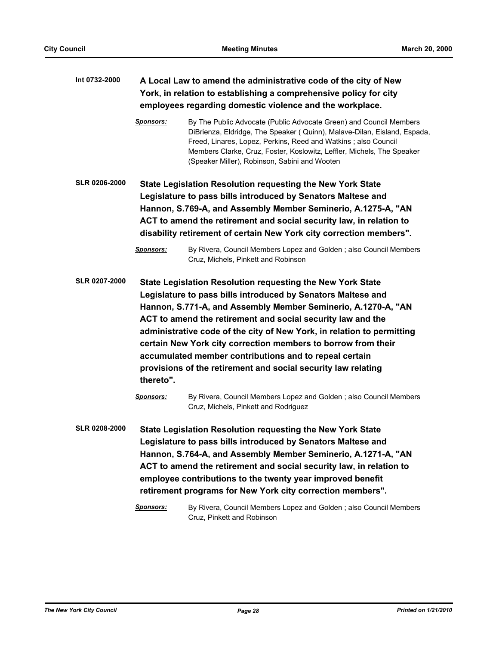| Int 0732-2000        | A Local Law to amend the administrative code of the city of New<br>York, in relation to establishing a comprehensive policy for city                                                                                                                                                                                                                                                                                                                                                                                                          |                                                                                                                                                                                                                                                                                                                                                                                                                                                                            |  |
|----------------------|-----------------------------------------------------------------------------------------------------------------------------------------------------------------------------------------------------------------------------------------------------------------------------------------------------------------------------------------------------------------------------------------------------------------------------------------------------------------------------------------------------------------------------------------------|----------------------------------------------------------------------------------------------------------------------------------------------------------------------------------------------------------------------------------------------------------------------------------------------------------------------------------------------------------------------------------------------------------------------------------------------------------------------------|--|
|                      | employees regarding domestic violence and the workplace.                                                                                                                                                                                                                                                                                                                                                                                                                                                                                      |                                                                                                                                                                                                                                                                                                                                                                                                                                                                            |  |
|                      | <b>Sponsors:</b>                                                                                                                                                                                                                                                                                                                                                                                                                                                                                                                              | By The Public Advocate (Public Advocate Green) and Council Members<br>DiBrienza, Eldridge, The Speaker (Quinn), Malave-Dilan, Eisland, Espada,<br>Freed, Linares, Lopez, Perkins, Reed and Watkins; also Council<br>Members Clarke, Cruz, Foster, Koslowitz, Leffler, Michels, The Speaker<br>(Speaker Miller), Robinson, Sabini and Wooten                                                                                                                                |  |
| <b>SLR 0206-2000</b> | State Legislation Resolution requesting the New York State<br>Legislature to pass bills introduced by Senators Maltese and<br>Hannon, S.769-A, and Assembly Member Seminerio, A.1275-A, "AN<br>ACT to amend the retirement and social security law, in relation to<br>disability retirement of certain New York city correction members".                                                                                                                                                                                                     |                                                                                                                                                                                                                                                                                                                                                                                                                                                                            |  |
|                      | <b>Sponsors:</b>                                                                                                                                                                                                                                                                                                                                                                                                                                                                                                                              | By Rivera, Council Members Lopez and Golden; also Council Members<br>Cruz, Michels, Pinkett and Robinson                                                                                                                                                                                                                                                                                                                                                                   |  |
| <b>SLR 0207-2000</b> | State Legislation Resolution requesting the New York State<br>Legislature to pass bills introduced by Senators Maltese and<br>Hannon, S.771-A, and Assembly Member Seminerio, A.1270-A, "AN<br>ACT to amend the retirement and social security law and the<br>administrative code of the city of New York, in relation to permitting<br>certain New York city correction members to borrow from their<br>accumulated member contributions and to repeal certain<br>provisions of the retirement and social security law relating<br>thereto". |                                                                                                                                                                                                                                                                                                                                                                                                                                                                            |  |
|                      | Sponsors:                                                                                                                                                                                                                                                                                                                                                                                                                                                                                                                                     | By Rivera, Council Members Lopez and Golden; also Council Members<br>Cruz, Michels, Pinkett and Rodriguez                                                                                                                                                                                                                                                                                                                                                                  |  |
| <b>SLR 0208-2000</b> | Sponsors:                                                                                                                                                                                                                                                                                                                                                                                                                                                                                                                                     | <b>State Legislation Resolution requesting the New York State</b><br>Legislature to pass bills introduced by Senators Maltese and<br>Hannon, S.764-A, and Assembly Member Seminerio, A.1271-A, "AN<br>ACT to amend the retirement and social security law, in relation to<br>employee contributions to the twenty year improved benefit<br>retirement programs for New York city correction members".<br>By Rivera, Council Members Lopez and Golden; also Council Members |  |
|                      |                                                                                                                                                                                                                                                                                                                                                                                                                                                                                                                                               | Cruz, Pinkett and Robinson                                                                                                                                                                                                                                                                                                                                                                                                                                                 |  |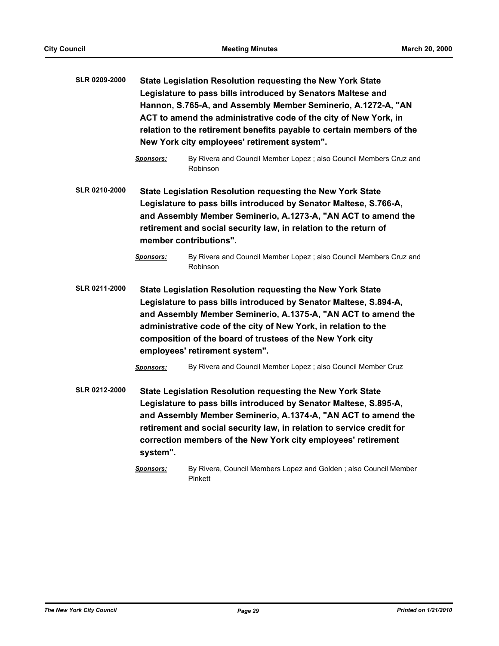| SLR 0209-2000        | State Legislation Resolution requesting the New York State<br>Legislature to pass bills introduced by Senators Maltese and<br>Hannon, S.765-A, and Assembly Member Seminerio, A.1272-A, "AN<br>ACT to amend the administrative code of the city of New York, in<br>relation to the retirement benefits payable to certain members of the<br>New York city employees' retirement system". |                                                                                                                                                                                                                                                                                                                                            |  |
|----------------------|------------------------------------------------------------------------------------------------------------------------------------------------------------------------------------------------------------------------------------------------------------------------------------------------------------------------------------------------------------------------------------------|--------------------------------------------------------------------------------------------------------------------------------------------------------------------------------------------------------------------------------------------------------------------------------------------------------------------------------------------|--|
|                      | Sponsors:                                                                                                                                                                                                                                                                                                                                                                                | By Rivera and Council Member Lopez ; also Council Members Cruz and<br>Robinson                                                                                                                                                                                                                                                             |  |
| <b>SLR 0210-2000</b> | <b>State Legislation Resolution requesting the New York State</b><br>Legislature to pass bills introduced by Senator Maltese, S.766-A,<br>and Assembly Member Seminerio, A.1273-A, "AN ACT to amend the<br>retirement and social security law, in relation to the return of<br>member contributions".                                                                                    |                                                                                                                                                                                                                                                                                                                                            |  |
|                      | <u>Sponsors:</u>                                                                                                                                                                                                                                                                                                                                                                         | By Rivera and Council Member Lopez ; also Council Members Cruz and<br>Robinson                                                                                                                                                                                                                                                             |  |
| <b>SLR 0211-2000</b> | State Legislation Resolution requesting the New York State<br>Legislature to pass bills introduced by Senator Maltese, S.894-A,<br>and Assembly Member Seminerio, A.1375-A, "AN ACT to amend the<br>administrative code of the city of New York, in relation to the<br>composition of the board of trustees of the New York city<br>employees' retirement system".                       |                                                                                                                                                                                                                                                                                                                                            |  |
|                      | Sponsors:                                                                                                                                                                                                                                                                                                                                                                                | By Rivera and Council Member Lopez ; also Council Member Cruz                                                                                                                                                                                                                                                                              |  |
| <b>SLR 0212-2000</b> | system".                                                                                                                                                                                                                                                                                                                                                                                 | State Legislation Resolution requesting the New York State<br>Legislature to pass bills introduced by Senator Maltese, S.895-A,<br>and Assembly Member Seminerio, A.1374-A, "AN ACT to amend the<br>retirement and social security law, in relation to service credit for<br>correction members of the New York city employees' retirement |  |

*Sponsors:* By Rivera, Council Members Lopez and Golden ; also Council Member Pinkett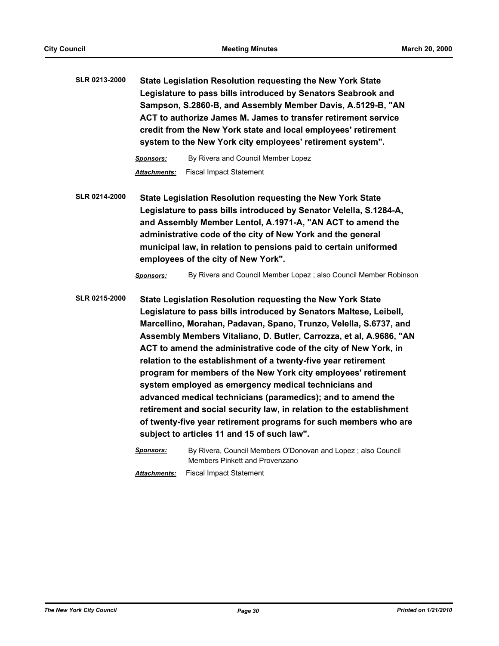**SLR 0213-2000 State Legislation Resolution requesting the New York State Legislature to pass bills introduced by Senators Seabrook and Sampson, S.2860-B, and Assembly Member Davis, A.5129-B, "AN ACT to authorize James M. James to transfer retirement service credit from the New York state and local employees' retirement system to the New York city employees' retirement system".**

> *Sponsors:* By Rivera and Council Member Lopez *Attachments:* Fiscal Impact Statement

**SLR 0214-2000 State Legislation Resolution requesting the New York State Legislature to pass bills introduced by Senator Velella, S.1284-A, and Assembly Member Lentol, A.1971-A, "AN ACT to amend the administrative code of the city of New York and the general municipal law, in relation to pensions paid to certain uniformed employees of the city of New York".**

*Sponsors:* By Rivera and Council Member Lopez ; also Council Member Robinson

**SLR 0215-2000 State Legislation Resolution requesting the New York State Legislature to pass bills introduced by Senators Maltese, Leibell, Marcellino, Morahan, Padavan, Spano, Trunzo, Velella, S.6737, and Assembly Members Vitaliano, D. Butler, Carrozza, et al, A.9686, "AN ACT to amend the administrative code of the city of New York, in relation to the establishment of a twenty-five year retirement program for members of the New York city employees' retirement system employed as emergency medical technicians and advanced medical technicians (paramedics); and to amend the retirement and social security law, in relation to the establishment of twenty-five year retirement programs for such members who are subject to articles 11 and 15 of such law".**

> *Sponsors:* By Rivera, Council Members O'Donovan and Lopez ; also Council Members Pinkett and Provenzano *Attachments:* Fiscal Impact Statement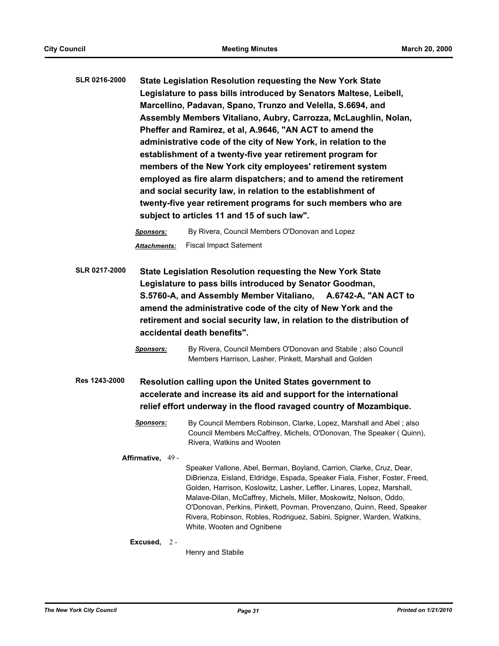| State Legislation Resolution requesting the New York State         |
|--------------------------------------------------------------------|
| Legislature to pass bills introduced by Senators Maltese, Leibell, |
| Marcellino, Padavan, Spano, Trunzo and Velella, S.6694, and        |
| Assembly Members Vitaliano, Aubry, Carrozza, McLaughlin, Nolan,    |
| Pheffer and Ramirez, et al, A.9646, "AN ACT to amend the           |
| administrative code of the city of New York, in relation to the    |
| establishment of a twenty-five year retirement program for         |
| members of the New York city employees' retirement system          |
| employed as fire alarm dispatchers; and to amend the retirement    |
| and social security law, in relation to the establishment of       |
| twenty-five year retirement programs for such members who are      |
| subject to articles 11 and 15 of such law".                        |
|                                                                    |

*Sponsors:* By Rivera, Council Members O'Donovan and Lopez *Attachments:* Fiscal Impact Satement

**SLR 0217-2000 State Legislation Resolution requesting the New York State Legislature to pass bills introduced by Senator Goodman, S.5760-A, and Assembly Member Vitaliano, A.6742-A, "AN ACT to amend the administrative code of the city of New York and the retirement and social security law, in relation to the distribution of accidental death benefits".**

> *Sponsors:* By Rivera, Council Members O'Donovan and Stabile ; also Council Members Harrison, Lasher, Pinkett, Marshall and Golden

**Res 1243-2000 Resolution calling upon the United States government to accelerate and increase its aid and support for the international relief effort underway in the flood ravaged country of Mozambique.**

> *Sponsors:* By Council Members Robinson, Clarke, Lopez, Marshall and Abel ; also Council Members McCaffrey, Michels, O'Donovan, The Speaker ( Quinn), Rivera, Watkins and Wooten

# **Affirmative,** 49 -

Speaker Vallone, Abel, Berman, Boyland, Carrion, Clarke, Cruz, Dear, DiBrienza, Eisland, Eldridge, Espada, Speaker Fiala, Fisher, Foster, Freed, Golden, Harrison, Koslowitz, Lasher, Leffler, Linares, Lopez, Marshall, Malave-Dilan, McCaffrey, Michels, Miller, Moskowitz, Nelson, Oddo, O'Donovan, Perkins, Pinkett, Povman, Provenzano, Quinn, Reed, Speaker Rivera, Robinson, Robles, Rodriguez, Sabini, Spigner, Warden, Watkins, White, Wooten and Ognibene

#### **Excused,** 2 -

Henry and Stabile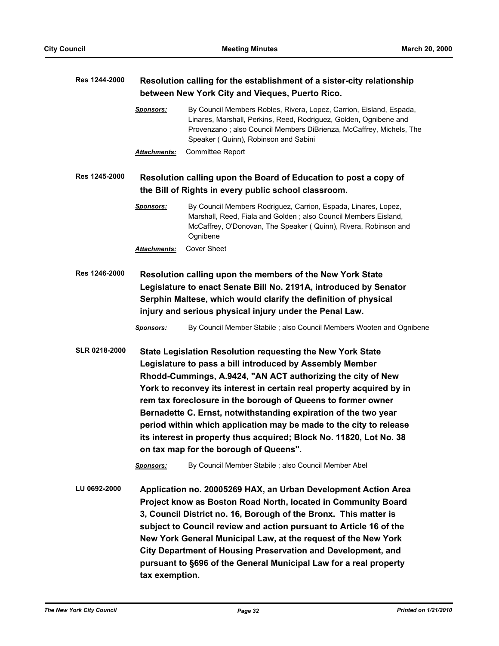| Res 1244-2000        | Resolution calling for the establishment of a sister-city relationship<br>between New York City and Vieques, Puerto Rico.                                                                                                                                                                                                                                                                                                                                                                                                                                                                |                                                                                                                                                                                                                                                         |  |
|----------------------|------------------------------------------------------------------------------------------------------------------------------------------------------------------------------------------------------------------------------------------------------------------------------------------------------------------------------------------------------------------------------------------------------------------------------------------------------------------------------------------------------------------------------------------------------------------------------------------|---------------------------------------------------------------------------------------------------------------------------------------------------------------------------------------------------------------------------------------------------------|--|
|                      | <b>Sponsors:</b>                                                                                                                                                                                                                                                                                                                                                                                                                                                                                                                                                                         | By Council Members Robles, Rivera, Lopez, Carrion, Eisland, Espada,<br>Linares, Marshall, Perkins, Reed, Rodriguez, Golden, Ognibene and<br>Provenzano; also Council Members DiBrienza, McCaffrey, Michels, The<br>Speaker (Quinn), Robinson and Sabini |  |
|                      | Attachments:                                                                                                                                                                                                                                                                                                                                                                                                                                                                                                                                                                             | Committee Report                                                                                                                                                                                                                                        |  |
| Res 1245-2000        |                                                                                                                                                                                                                                                                                                                                                                                                                                                                                                                                                                                          | Resolution calling upon the Board of Education to post a copy of<br>the Bill of Rights in every public school classroom.                                                                                                                                |  |
|                      | Sponsors:                                                                                                                                                                                                                                                                                                                                                                                                                                                                                                                                                                                | By Council Members Rodriguez, Carrion, Espada, Linares, Lopez,<br>Marshall, Reed, Fiala and Golden; also Council Members Eisland,<br>McCaffrey, O'Donovan, The Speaker (Quinn), Rivera, Robinson and<br>Ognibene                                        |  |
|                      | Attachments:                                                                                                                                                                                                                                                                                                                                                                                                                                                                                                                                                                             | <b>Cover Sheet</b>                                                                                                                                                                                                                                      |  |
| Res 1246-2000        | Resolution calling upon the members of the New York State<br>Legislature to enact Senate Bill No. 2191A, introduced by Senator<br>Serphin Maltese, which would clarify the definition of physical<br>injury and serious physical injury under the Penal Law.                                                                                                                                                                                                                                                                                                                             |                                                                                                                                                                                                                                                         |  |
|                      | <b>Sponsors:</b>                                                                                                                                                                                                                                                                                                                                                                                                                                                                                                                                                                         | By Council Member Stabile ; also Council Members Wooten and Ognibene                                                                                                                                                                                    |  |
| <b>SLR 0218-2000</b> | State Legislation Resolution requesting the New York State<br>Legislature to pass a bill introduced by Assembly Member<br>Rhodd-Cummings, A.9424, "AN ACT authorizing the city of New<br>York to reconvey its interest in certain real property acquired by in<br>rem tax foreclosure in the borough of Queens to former owner<br>Bernadette C. Ernst, notwithstanding expiration of the two year<br>period within which application may be made to the city to release<br>its interest in property thus acquired; Block No. 11820, Lot No. 38<br>on tax map for the borough of Queens". |                                                                                                                                                                                                                                                         |  |
|                      | <b>Sponsors:</b>                                                                                                                                                                                                                                                                                                                                                                                                                                                                                                                                                                         | By Council Member Stabile ; also Council Member Abel                                                                                                                                                                                                    |  |
| LU 0692-2000         | Application no. 20005269 HAX, an Urban Development Action Area<br>Project know as Boston Road North, located in Community Board<br>3, Council District no. 16, Borough of the Bronx. This matter is<br>subject to Council review and action pursuant to Article 16 of the<br>New York General Municipal Law, at the request of the New York<br>City Department of Housing Preservation and Development, and<br>pursuant to §696 of the General Municipal Law for a real property<br>tax exemption.                                                                                       |                                                                                                                                                                                                                                                         |  |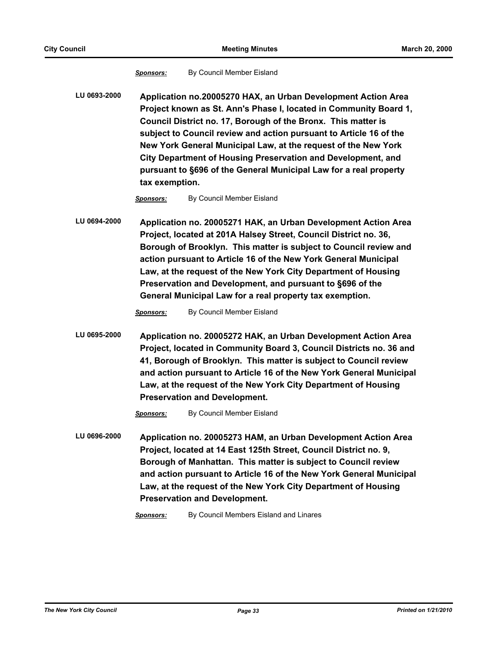*Sponsors:* By Council Member Eisland

**LU 0693-2000 Application no.20005270 HAX, an Urban Development Action Area Project known as St. Ann's Phase I, located in Community Board 1, Council District no. 17, Borough of the Bronx. This matter is subject to Council review and action pursuant to Article 16 of the New York General Municipal Law, at the request of the New York City Department of Housing Preservation and Development, and pursuant to §696 of the General Municipal Law for a real property tax exemption.**

*Sponsors:* By Council Member Eisland

**LU 0694-2000 Application no. 20005271 HAK, an Urban Development Action Area Project, located at 201A Halsey Street, Council District no. 36, Borough of Brooklyn. This matter is subject to Council review and action pursuant to Article 16 of the New York General Municipal Law, at the request of the New York City Department of Housing Preservation and Development, and pursuant to §696 of the General Municipal Law for a real property tax exemption.**

*Sponsors:* By Council Member Eisland

**LU 0695-2000 Application no. 20005272 HAK, an Urban Development Action Area Project, located in Community Board 3, Council Districts no. 36 and 41, Borough of Brooklyn. This matter is subject to Council review and action pursuant to Article 16 of the New York General Municipal Law, at the request of the New York City Department of Housing Preservation and Development.**

*Sponsors:* By Council Member Eisland

**LU 0696-2000 Application no. 20005273 HAM, an Urban Development Action Area Project, located at 14 East 125th Street, Council District no. 9, Borough of Manhattan. This matter is subject to Council review and action pursuant to Article 16 of the New York General Municipal Law, at the request of the New York City Department of Housing Preservation and Development.**

*Sponsors:* By Council Members Eisland and Linares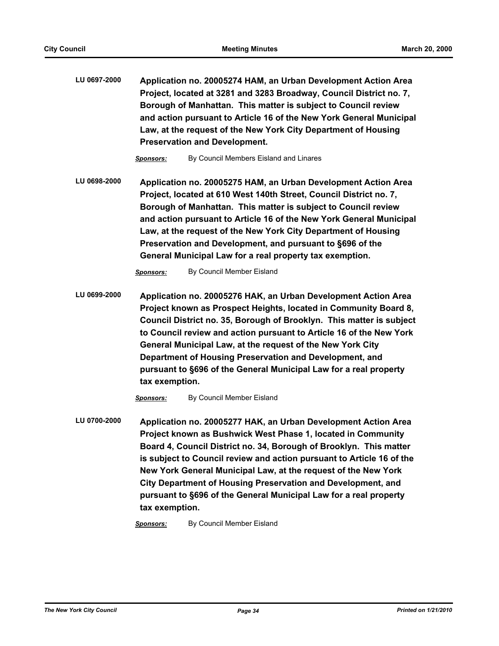**LU 0697-2000 Application no. 20005274 HAM, an Urban Development Action Area Project, located at 3281 and 3283 Broadway, Council District no. 7, Borough of Manhattan. This matter is subject to Council review and action pursuant to Article 16 of the New York General Municipal Law, at the request of the New York City Department of Housing Preservation and Development.**

*Sponsors:* By Council Members Eisland and Linares

**LU 0698-2000 Application no. 20005275 HAM, an Urban Development Action Area Project, located at 610 West 140th Street, Council District no. 7, Borough of Manhattan. This matter is subject to Council review and action pursuant to Article 16 of the New York General Municipal Law, at the request of the New York City Department of Housing Preservation and Development, and pursuant to §696 of the General Municipal Law for a real property tax exemption.**

*Sponsors:* By Council Member Eisland

**LU 0699-2000 Application no. 20005276 HAK, an Urban Development Action Area Project known as Prospect Heights, located in Community Board 8, Council District no. 35, Borough of Brooklyn. This matter is subject to Council review and action pursuant to Article 16 of the New York General Municipal Law, at the request of the New York City Department of Housing Preservation and Development, and pursuant to §696 of the General Municipal Law for a real property tax exemption.**

*Sponsors:* By Council Member Eisland

**LU 0700-2000 Application no. 20005277 HAK, an Urban Development Action Area Project known as Bushwick West Phase 1, located in Community Board 4, Council District no. 34, Borough of Brooklyn. This matter is subject to Council review and action pursuant to Article 16 of the New York General Municipal Law, at the request of the New York City Department of Housing Preservation and Development, and pursuant to §696 of the General Municipal Law for a real property tax exemption.**

*Sponsors:* By Council Member Eisland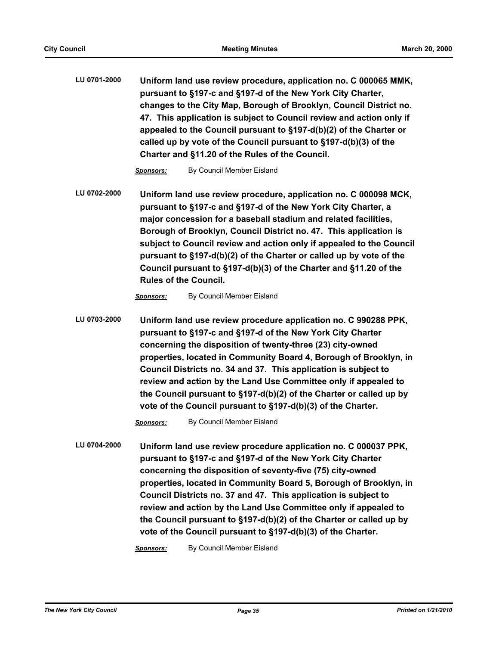**LU 0701-2000 Uniform land use review procedure, application no. C 000065 MMK, pursuant to §197-c and §197-d of the New York City Charter, changes to the City Map, Borough of Brooklyn, Council District no. 47. This application is subject to Council review and action only if appealed to the Council pursuant to §197-d(b)(2) of the Charter or called up by vote of the Council pursuant to §197-d(b)(3) of the Charter and §11.20 of the Rules of the Council.**

*Sponsors:* By Council Member Eisland

**LU 0702-2000 Uniform land use review procedure, application no. C 000098 MCK, pursuant to §197-c and §197-d of the New York City Charter, a major concession for a baseball stadium and related facilities, Borough of Brooklyn, Council District no. 47. This application is subject to Council review and action only if appealed to the Council pursuant to §197-d(b)(2) of the Charter or called up by vote of the Council pursuant to §197-d(b)(3) of the Charter and §11.20 of the Rules of the Council.**

**Sponsors:** By Council Member Eisland

**LU 0703-2000 Uniform land use review procedure application no. C 990288 PPK, pursuant to §197-c and §197-d of the New York City Charter concerning the disposition of twenty-three (23) city-owned properties, located in Community Board 4, Borough of Brooklyn, in Council Districts no. 34 and 37. This application is subject to review and action by the Land Use Committee only if appealed to the Council pursuant to §197-d(b)(2) of the Charter or called up by vote of the Council pursuant to §197-d(b)(3) of the Charter.**

*Sponsors:* By Council Member Eisland

**LU 0704-2000 Uniform land use review procedure application no. C 000037 PPK, pursuant to §197-c and §197-d of the New York City Charter concerning the disposition of seventy-five (75) city-owned properties, located in Community Board 5, Borough of Brooklyn, in Council Districts no. 37 and 47. This application is subject to review and action by the Land Use Committee only if appealed to the Council pursuant to §197-d(b)(2) of the Charter or called up by vote of the Council pursuant to §197-d(b)(3) of the Charter.**

*Sponsors:* By Council Member Eisland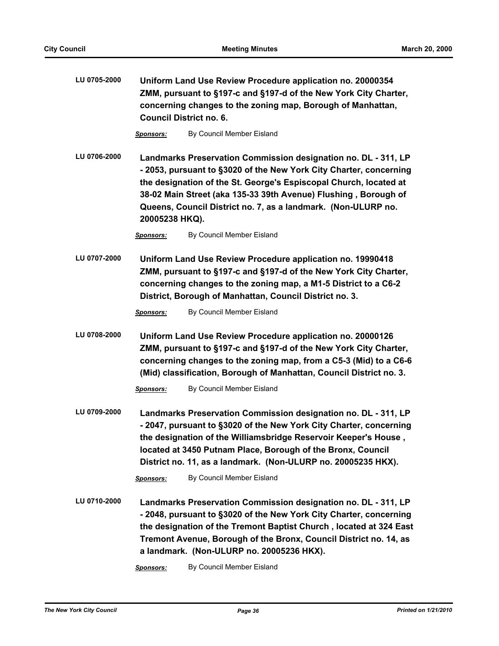| LU 0705-2000 | Uniform Land Use Review Procedure application no. 20000354<br>ZMM, pursuant to §197-c and §197-d of the New York City Charter,<br>concerning changes to the zoning map, Borough of Manhattan,<br><b>Council District no. 6.</b>                                                                                                                                |                                                                                                                                                                                                                                                                                                                                                          |  |
|--------------|----------------------------------------------------------------------------------------------------------------------------------------------------------------------------------------------------------------------------------------------------------------------------------------------------------------------------------------------------------------|----------------------------------------------------------------------------------------------------------------------------------------------------------------------------------------------------------------------------------------------------------------------------------------------------------------------------------------------------------|--|
|              | <b>Sponsors:</b>                                                                                                                                                                                                                                                                                                                                               | By Council Member Eisland                                                                                                                                                                                                                                                                                                                                |  |
| LU 0706-2000 | Landmarks Preservation Commission designation no. DL - 311, LP<br>-2053, pursuant to §3020 of the New York City Charter, concerning<br>the designation of the St. George's Espiscopal Church, located at<br>38-02 Main Street (aka 135-33 39th Avenue) Flushing, Borough of<br>Queens, Council District no. 7, as a landmark. (Non-ULURP no.<br>20005238 HKQ). |                                                                                                                                                                                                                                                                                                                                                          |  |
|              | <b>Sponsors:</b>                                                                                                                                                                                                                                                                                                                                               | By Council Member Eisland                                                                                                                                                                                                                                                                                                                                |  |
| LU 0707-2000 | Uniform Land Use Review Procedure application no. 19990418<br>ZMM, pursuant to §197-c and §197-d of the New York City Charter,<br>concerning changes to the zoning map, a M1-5 District to a C6-2<br>District, Borough of Manhattan, Council District no. 3.                                                                                                   |                                                                                                                                                                                                                                                                                                                                                          |  |
|              | <b>Sponsors:</b>                                                                                                                                                                                                                                                                                                                                               | By Council Member Eisland                                                                                                                                                                                                                                                                                                                                |  |
| LU 0708-2000 | Uniform Land Use Review Procedure application no. 20000126<br>ZMM, pursuant to §197-c and §197-d of the New York City Charter,<br>concerning changes to the zoning map, from a C5-3 (Mid) to a C6-6<br>(Mid) classification, Borough of Manhattan, Council District no. 3.                                                                                     |                                                                                                                                                                                                                                                                                                                                                          |  |
|              | <b>Sponsors:</b>                                                                                                                                                                                                                                                                                                                                               | By Council Member Eisland                                                                                                                                                                                                                                                                                                                                |  |
| LU 0709-2000 |                                                                                                                                                                                                                                                                                                                                                                | Landmarks Preservation Commission designation no. DL - 311, LP<br>-2047, pursuant to §3020 of the New York City Charter, concerning<br>the designation of the Williamsbridge Reservoir Keeper's House,<br>located at 3450 Putnam Place, Borough of the Bronx, Council<br>District no. 11, as a landmark. (Non-ULURP no. 20005235 HKX).                   |  |
|              | <b>Sponsors:</b>                                                                                                                                                                                                                                                                                                                                               | By Council Member Eisland                                                                                                                                                                                                                                                                                                                                |  |
| LU 0710-2000 | Sponsors:                                                                                                                                                                                                                                                                                                                                                      | Landmarks Preservation Commission designation no. DL - 311, LP<br>-2048, pursuant to §3020 of the New York City Charter, concerning<br>the designation of the Tremont Baptist Church, located at 324 East<br>Tremont Avenue, Borough of the Bronx, Council District no. 14, as<br>a landmark. (Non-ULURP no. 20005236 HKX).<br>By Council Member Eisland |  |